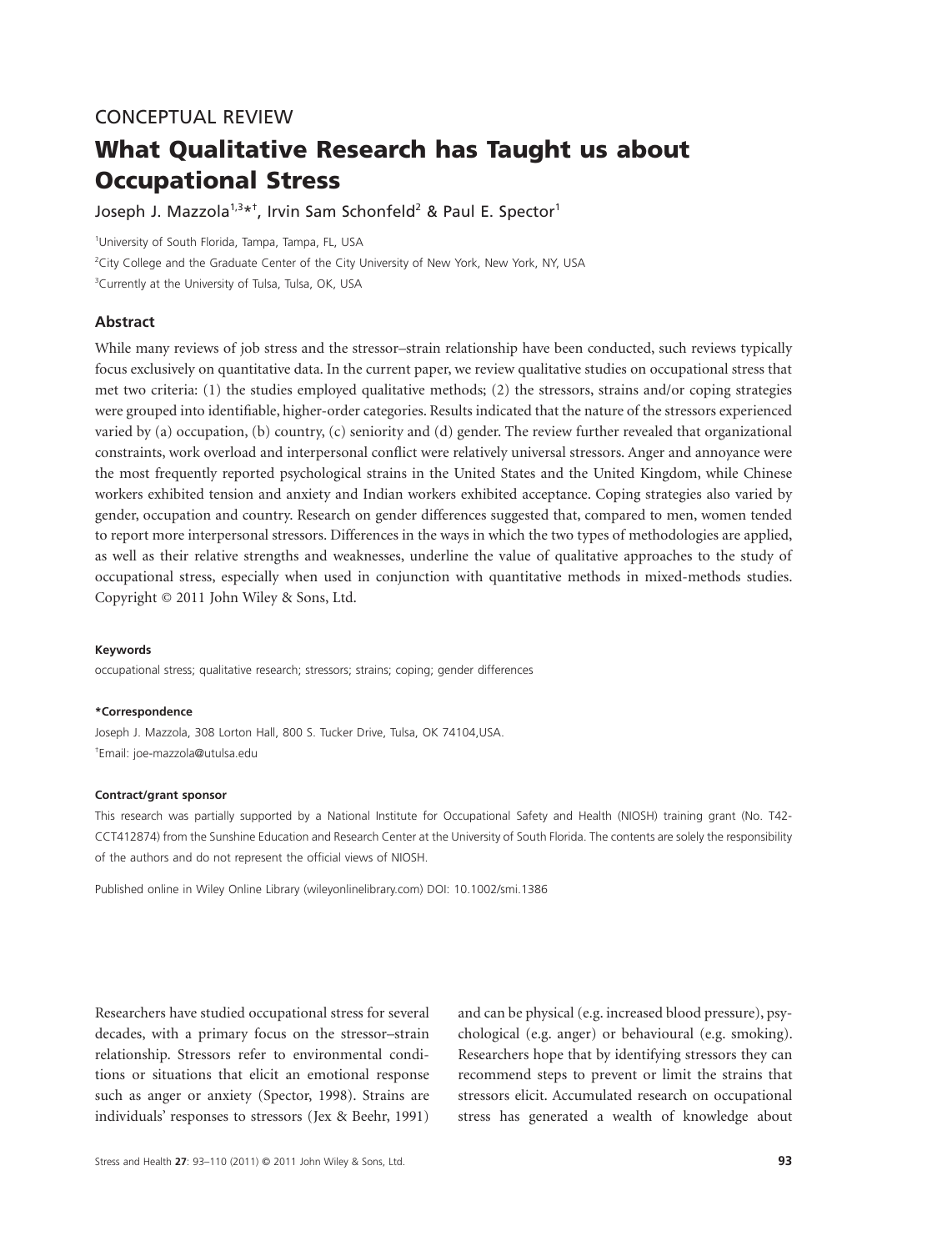# CONCEPTUAL REVIEW

# **What Qualitative Research has Taught us about Occupational Stress**

Joseph J. Mazzola<sup>1,3\*†</sup>, Irvin Sam Schonfeld<sup>2</sup> & Paul E. Spector<sup>1</sup>

1 University of South Florida, Tampa, Tampa, FL, USA

2 City College and the Graduate Center of the City University of New York, New York, NY, USA

3 Currently at the University of Tulsa, Tulsa, OK, USA

# **Abstract**

While many reviews of job stress and the stressor–strain relationship have been conducted, such reviews typically focus exclusively on quantitative data. In the current paper, we review qualitative studies on occupational stress that met two criteria: (1) the studies employed qualitative methods; (2) the stressors, strains and/or coping strategies were grouped into identifiable, higher-order categories. Results indicated that the nature of the stressors experienced varied by (a) occupation, (b) country, (c) seniority and (d) gender. The review further revealed that organizational constraints, work overload and interpersonal conflict were relatively universal stressors. Anger and annoyance were the most frequently reported psychological strains in the United States and the United Kingdom, while Chinese workers exhibited tension and anxiety and Indian workers exhibited acceptance. Coping strategies also varied by gender, occupation and country. Research on gender differences suggested that, compared to men, women tended to report more interpersonal stressors. Differences in the ways in which the two types of methodologies are applied, as well as their relative strengths and weaknesses, underline the value of qualitative approaches to the study of occupational stress, especially when used in conjunction with quantitative methods in mixed-methods studies. Copyright © 2011 John Wiley & Sons, Ltd.

#### **Keywords**

occupational stress; qualitative research; stressors; strains; coping; gender differences

#### **\*Correspondence**

Joseph J. Mazzola, 308 Lorton Hall, 800 S. Tucker Drive, Tulsa, OK 74104,USA. † Email: joe-mazzola@utulsa.edu

#### **Contract/grant sponsor**

This research was partially supported by a National Institute for Occupational Safety and Health (NIOSH) training grant (No. T42- CCT412874) from the Sunshine Education and Research Center at the University of South Florida. The contents are solely the responsibility of the authors and do not represent the official views of NIOSH.

Published online in Wiley Online Library (wileyonlinelibrary.com) DOI: 10.1002/smi.1386

Researchers have studied occupational stress for several decades, with a primary focus on the stressor–strain relationship. Stressors refer to environmental conditions or situations that elicit an emotional response such as anger or anxiety (Spector, 1998). Strains are individuals' responses to stressors (Jex & Beehr, 1991) and can be physical (e.g. increased blood pressure), psychological (e.g. anger) or behavioural (e.g. smoking). Researchers hope that by identifying stressors they can recommend steps to prevent or limit the strains that stressors elicit. Accumulated research on occupational stress has generated a wealth of knowledge about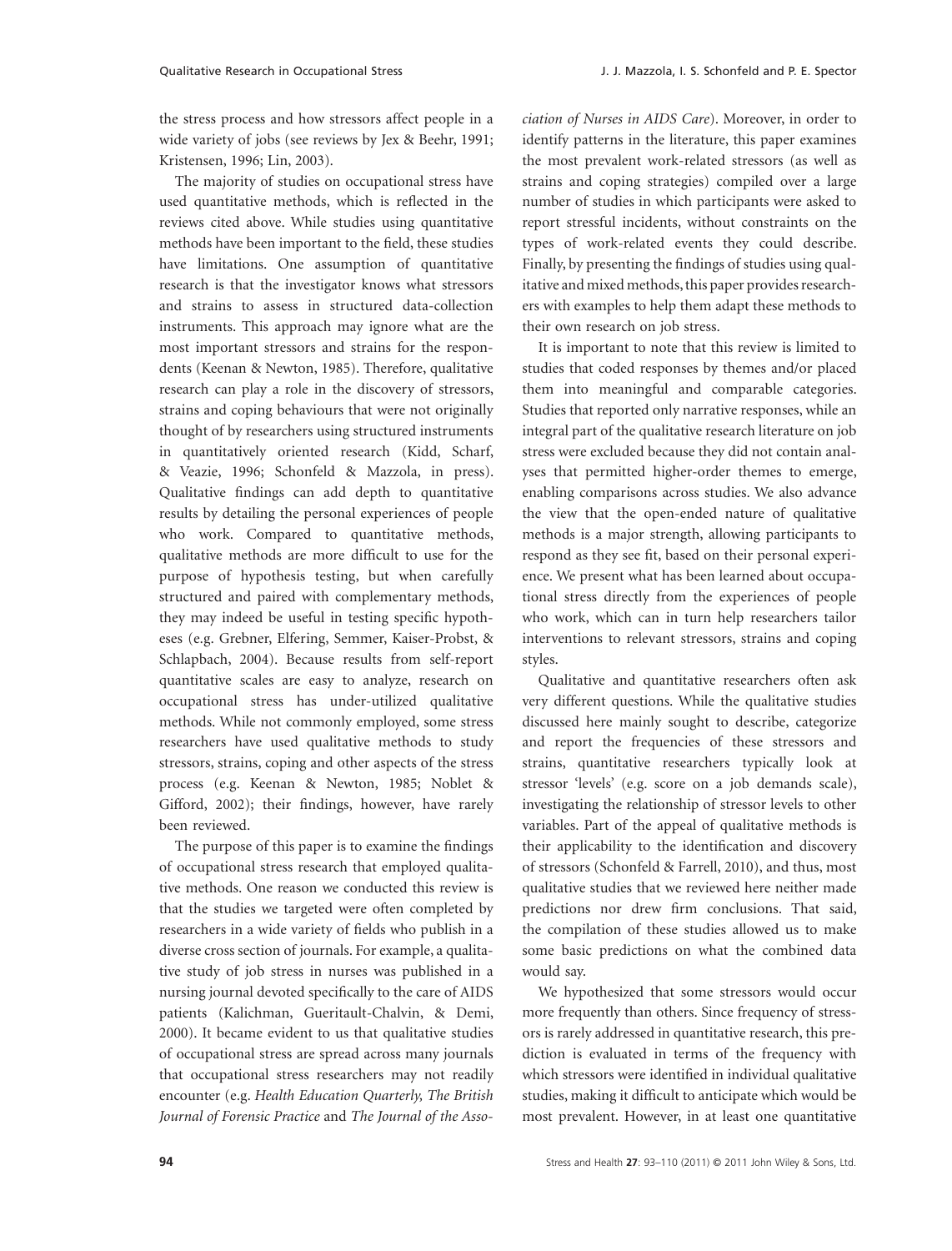the stress process and how stressors affect people in a wide variety of jobs (see reviews by Jex & Beehr, 1991; Kristensen, 1996; Lin, 2003).

The majority of studies on occupational stress have used quantitative methods, which is reflected in the reviews cited above. While studies using quantitative methods have been important to the field, these studies have limitations. One assumption of quantitative research is that the investigator knows what stressors and strains to assess in structured data-collection instruments. This approach may ignore what are the most important stressors and strains for the respondents (Keenan & Newton, 1985). Therefore, qualitative research can play a role in the discovery of stressors, strains and coping behaviours that were not originally thought of by researchers using structured instruments in quantitatively oriented research (Kidd, Scharf, & Veazie, 1996; Schonfeld & Mazzola, in press). Qualitative findings can add depth to quantitative results by detailing the personal experiences of people who work. Compared to quantitative methods, qualitative methods are more difficult to use for the purpose of hypothesis testing, but when carefully structured and paired with complementary methods, they may indeed be useful in testing specific hypotheses (e.g. Grebner, Elfering, Semmer, Kaiser-Probst, & Schlapbach, 2004). Because results from self-report quantitative scales are easy to analyze, research on occupational stress has under-utilized qualitative methods. While not commonly employed, some stress researchers have used qualitative methods to study stressors, strains, coping and other aspects of the stress process (e.g. Keenan & Newton, 1985; Noblet & Gifford, 2002); their findings, however, have rarely been reviewed.

The purpose of this paper is to examine the findings of occupational stress research that employed qualitative methods. One reason we conducted this review is that the studies we targeted were often completed by researchers in a wide variety of fields who publish in a diverse cross section of journals. For example, a qualitative study of job stress in nurses was published in a nursing journal devoted specifically to the care of AIDS patients (Kalichman, Gueritault-Chalvin, & Demi, 2000). It became evident to us that qualitative studies of occupational stress are spread across many journals that occupational stress researchers may not readily encounter (e.g. *Health Education Quarterly, The British Journal of Forensic Practice* and *The Journal of the Asso-* *ciation of Nurses in AIDS Care*). Moreover, in order to identify patterns in the literature, this paper examines the most prevalent work-related stressors (as well as strains and coping strategies) compiled over a large number of studies in which participants were asked to report stressful incidents, without constraints on the types of work-related events they could describe. Finally, by presenting the findings of studies using qualitative and mixed methods, this paper provides researchers with examples to help them adapt these methods to their own research on job stress.

It is important to note that this review is limited to studies that coded responses by themes and/or placed them into meaningful and comparable categories. Studies that reported only narrative responses, while an integral part of the qualitative research literature on job stress were excluded because they did not contain analyses that permitted higher-order themes to emerge, enabling comparisons across studies. We also advance the view that the open-ended nature of qualitative methods is a major strength, allowing participants to respond as they see fit, based on their personal experience. We present what has been learned about occupational stress directly from the experiences of people who work, which can in turn help researchers tailor interventions to relevant stressors, strains and coping styles.

Qualitative and quantitative researchers often ask very different questions. While the qualitative studies discussed here mainly sought to describe, categorize and report the frequencies of these stressors and strains, quantitative researchers typically look at stressor 'levels' (e.g. score on a job demands scale), investigating the relationship of stressor levels to other variables. Part of the appeal of qualitative methods is their applicability to the identification and discovery of stressors (Schonfeld & Farrell, 2010), and thus, most qualitative studies that we reviewed here neither made predictions nor drew firm conclusions. That said, the compilation of these studies allowed us to make some basic predictions on what the combined data would say.

We hypothesized that some stressors would occur more frequently than others. Since frequency of stressors is rarely addressed in quantitative research, this prediction is evaluated in terms of the frequency with which stressors were identified in individual qualitative studies, making it difficult to anticipate which would be most prevalent. However, in at least one quantitative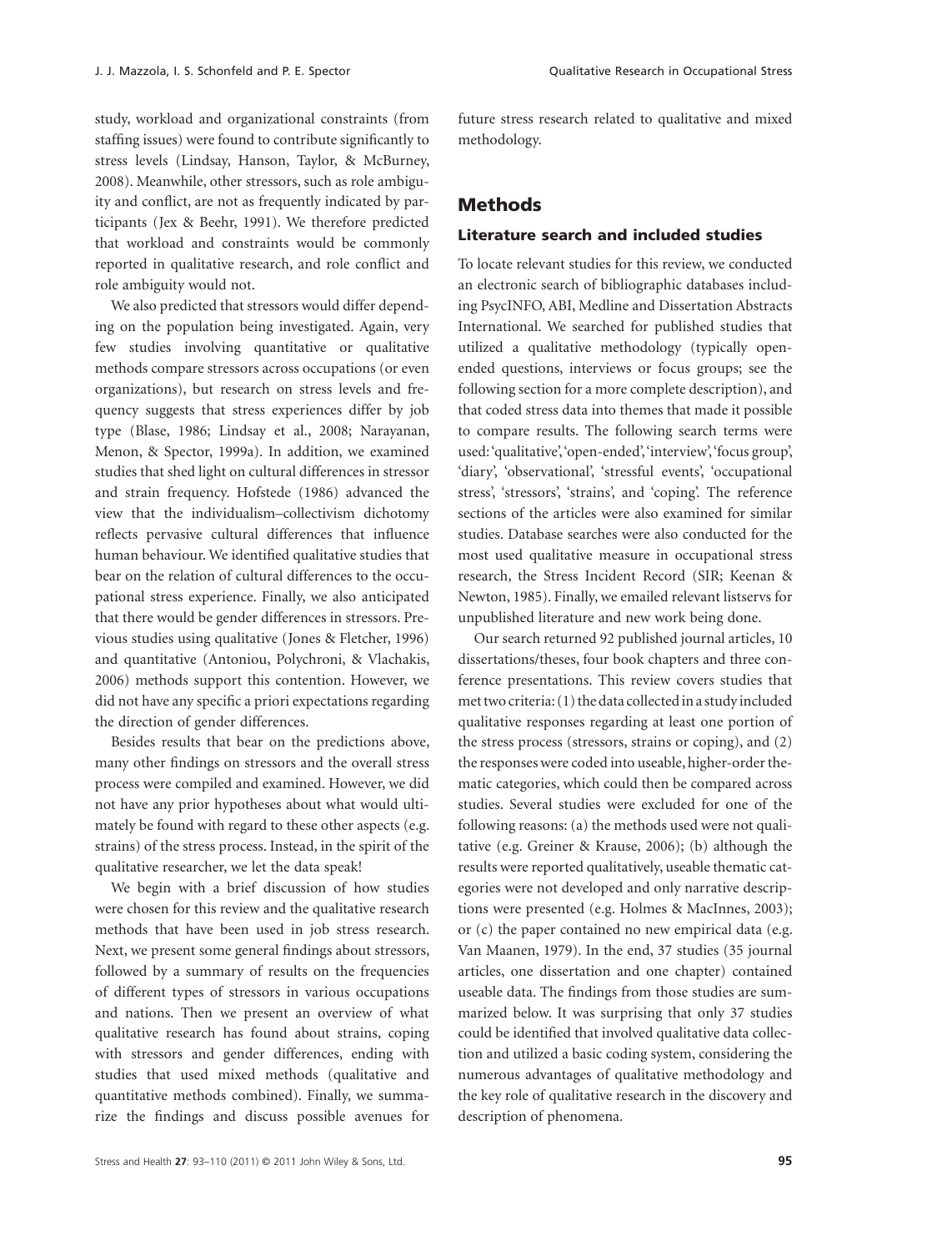study, workload and organizational constraints (from staffing issues) were found to contribute significantly to stress levels (Lindsay, Hanson, Taylor, & McBurney, 2008). Meanwhile, other stressors, such as role ambiguity and conflict, are not as frequently indicated by participants (Jex & Beehr, 1991). We therefore predicted that workload and constraints would be commonly reported in qualitative research, and role conflict and role ambiguity would not.

We also predicted that stressors would differ depending on the population being investigated. Again, very few studies involving quantitative or qualitative methods compare stressors across occupations (or even organizations), but research on stress levels and frequency suggests that stress experiences differ by job type (Blase, 1986; Lindsay et al., 2008; Narayanan, Menon, & Spector, 1999a). In addition, we examined studies that shed light on cultural differences in stressor and strain frequency. Hofstede (1986) advanced the view that the individualism–collectivism dichotomy reflects pervasive cultural differences that influence human behaviour. We identified qualitative studies that bear on the relation of cultural differences to the occupational stress experience. Finally, we also anticipated that there would be gender differences in stressors. Previous studies using qualitative (Jones & Fletcher, 1996) and quantitative (Antoniou, Polychroni, & Vlachakis, 2006) methods support this contention. However, we did not have any specific a priori expectations regarding the direction of gender differences.

Besides results that bear on the predictions above, many other findings on stressors and the overall stress process were compiled and examined. However, we did not have any prior hypotheses about what would ultimately be found with regard to these other aspects (e.g. strains) of the stress process. Instead, in the spirit of the qualitative researcher, we let the data speak!

We begin with a brief discussion of how studies were chosen for this review and the qualitative research methods that have been used in job stress research. Next, we present some general findings about stressors, followed by a summary of results on the frequencies of different types of stressors in various occupations and nations. Then we present an overview of what qualitative research has found about strains, coping with stressors and gender differences, ending with studies that used mixed methods (qualitative and quantitative methods combined). Finally, we summarize the findings and discuss possible avenues for future stress research related to qualitative and mixed methodology.

# **Methods**

# **Literature search and included studies**

To locate relevant studies for this review, we conducted an electronic search of bibliographic databases including PsycINFO, ABI, Medline and Dissertation Abstracts International. We searched for published studies that utilized a qualitative methodology (typically openended questions, interviews or focus groups; see the following section for a more complete description), and that coded stress data into themes that made it possible to compare results. The following search terms were used: 'qualitative', 'open-ended', 'interview', 'focus group', 'diary', 'observational', 'stressful events', 'occupational stress', 'stressors', 'strains', and 'coping'. The reference sections of the articles were also examined for similar studies. Database searches were also conducted for the most used qualitative measure in occupational stress research, the Stress Incident Record (SIR; Keenan & Newton, 1985). Finally, we emailed relevant listservs for unpublished literature and new work being done.

Our search returned 92 published journal articles, 10 dissertations/theses, four book chapters and three conference presentations. This review covers studies that met two criteria: (1) the data collected in a study included qualitative responses regarding at least one portion of the stress process (stressors, strains or coping), and (2) the responses were coded into useable, higher-order thematic categories, which could then be compared across studies. Several studies were excluded for one of the following reasons: (a) the methods used were not qualitative (e.g. Greiner & Krause, 2006); (b) although the results were reported qualitatively, useable thematic categories were not developed and only narrative descriptions were presented (e.g. Holmes & MacInnes, 2003); or (c) the paper contained no new empirical data (e.g. Van Maanen, 1979). In the end, 37 studies (35 journal articles, one dissertation and one chapter) contained useable data. The findings from those studies are summarized below. It was surprising that only 37 studies could be identified that involved qualitative data collection and utilized a basic coding system, considering the numerous advantages of qualitative methodology and the key role of qualitative research in the discovery and description of phenomena.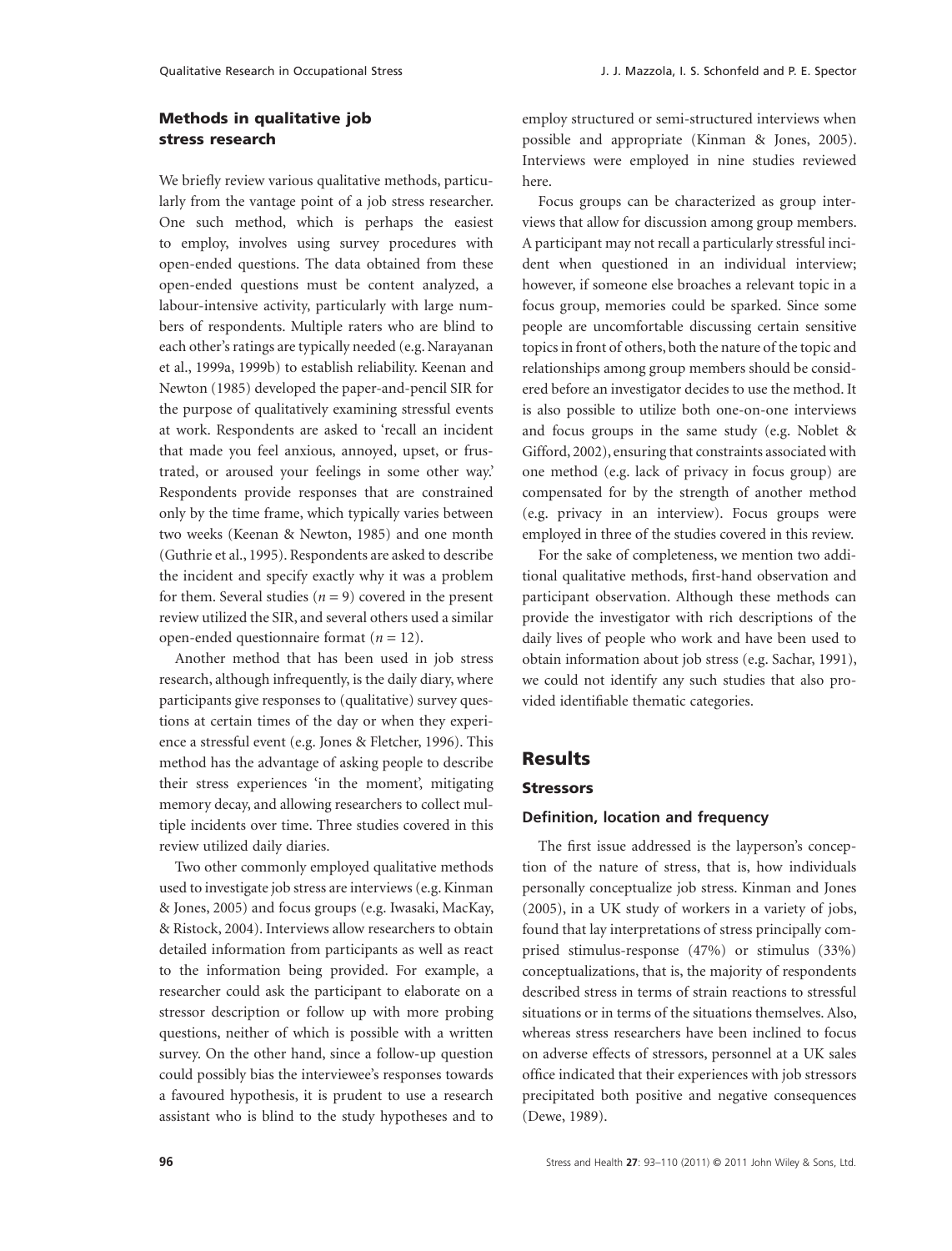# **Methods in qualitative job stress research**

We briefly review various qualitative methods, particularly from the vantage point of a job stress researcher. One such method, which is perhaps the easiest to employ, involves using survey procedures with open-ended questions. The data obtained from these open-ended questions must be content analyzed, a labour-intensive activity, particularly with large numbers of respondents. Multiple raters who are blind to each other's ratings are typically needed (e.g. Narayanan et al., 1999a, 1999b) to establish reliability. Keenan and Newton (1985) developed the paper-and-pencil SIR for the purpose of qualitatively examining stressful events at work. Respondents are asked to 'recall an incident that made you feel anxious, annoyed, upset, or frustrated, or aroused your feelings in some other way.' Respondents provide responses that are constrained only by the time frame, which typically varies between two weeks (Keenan & Newton, 1985) and one month (Guthrie et al., 1995). Respondents are asked to describe the incident and specify exactly why it was a problem for them. Several studies  $(n = 9)$  covered in the present review utilized the SIR, and several others used a similar open-ended questionnaire format (*n* = 12).

Another method that has been used in job stress research, although infrequently, is the daily diary, where participants give responses to (qualitative) survey questions at certain times of the day or when they experience a stressful event (e.g. Jones & Fletcher, 1996). This method has the advantage of asking people to describe their stress experiences 'in the moment', mitigating memory decay, and allowing researchers to collect multiple incidents over time. Three studies covered in this review utilized daily diaries.

Two other commonly employed qualitative methods used to investigate job stress are interviews (e.g. Kinman & Jones, 2005) and focus groups (e.g. Iwasaki, MacKay, & Ristock, 2004). Interviews allow researchers to obtain detailed information from participants as well as react to the information being provided. For example, a researcher could ask the participant to elaborate on a stressor description or follow up with more probing questions, neither of which is possible with a written survey. On the other hand, since a follow-up question could possibly bias the interviewee's responses towards a favoured hypothesis, it is prudent to use a research assistant who is blind to the study hypotheses and to employ structured or semi-structured interviews when possible and appropriate (Kinman & Jones, 2005). Interviews were employed in nine studies reviewed here.

Focus groups can be characterized as group interviews that allow for discussion among group members. A participant may not recall a particularly stressful incident when questioned in an individual interview; however, if someone else broaches a relevant topic in a focus group, memories could be sparked. Since some people are uncomfortable discussing certain sensitive topics in front of others, both the nature of the topic and relationships among group members should be considered before an investigator decides to use the method. It is also possible to utilize both one-on-one interviews and focus groups in the same study (e.g. Noblet & Gifford, 2002), ensuring that constraints associated with one method (e.g. lack of privacy in focus group) are compensated for by the strength of another method (e.g. privacy in an interview). Focus groups were employed in three of the studies covered in this review.

For the sake of completeness, we mention two additional qualitative methods, first-hand observation and participant observation. Although these methods can provide the investigator with rich descriptions of the daily lives of people who work and have been used to obtain information about job stress (e.g. Sachar, 1991), we could not identify any such studies that also provided identifiable thematic categories.

# **Results**

# **Stressors**

# **Definition, location and frequency**

The first issue addressed is the layperson's conception of the nature of stress, that is, how individuals personally conceptualize job stress. Kinman and Jones (2005), in a UK study of workers in a variety of jobs, found that lay interpretations of stress principally comprised stimulus-response (47%) or stimulus (33%) conceptualizations, that is, the majority of respondents described stress in terms of strain reactions to stressful situations or in terms of the situations themselves. Also, whereas stress researchers have been inclined to focus on adverse effects of stressors, personnel at a UK sales office indicated that their experiences with job stressors precipitated both positive and negative consequences (Dewe, 1989).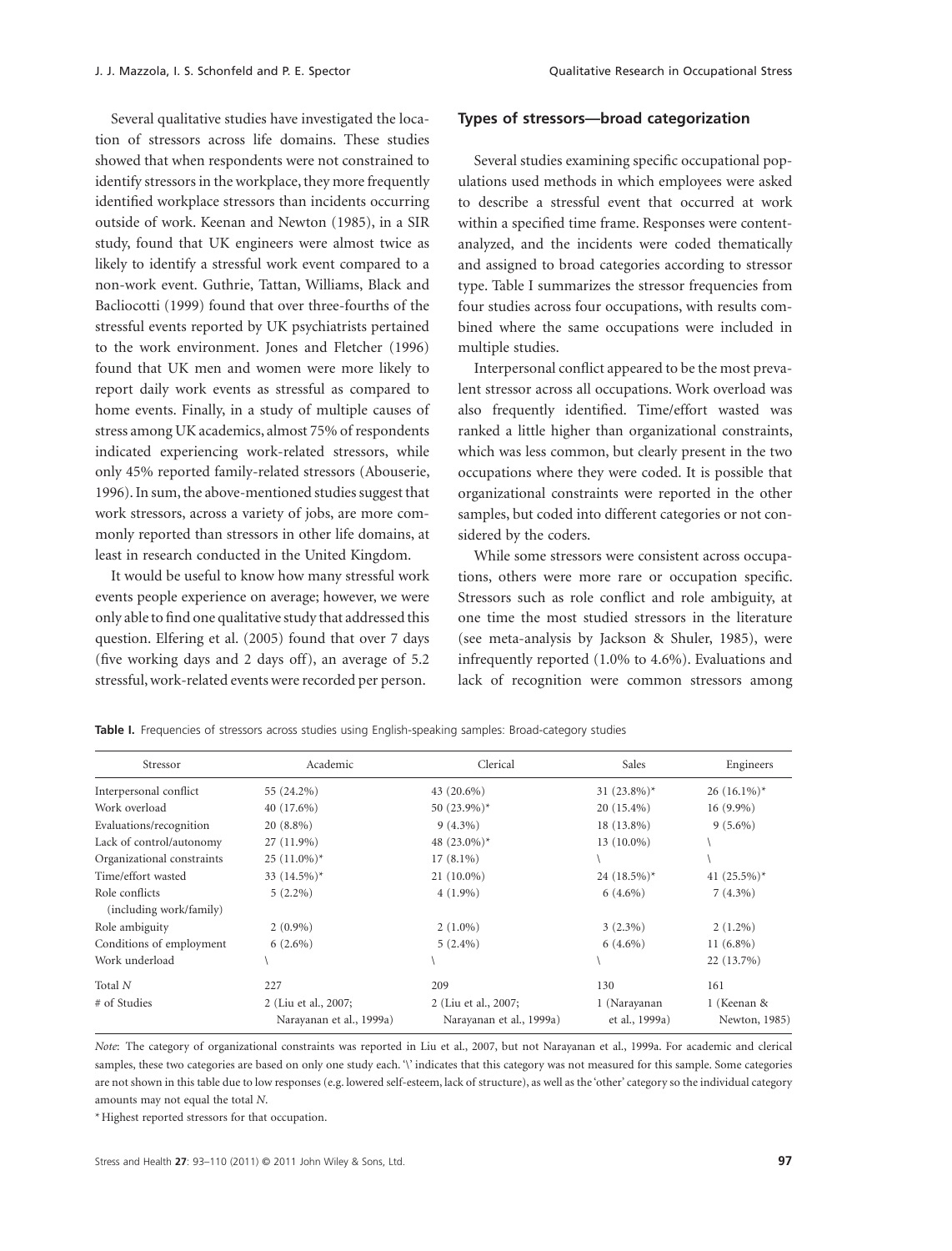Several qualitative studies have investigated the location of stressors across life domains. These studies showed that when respondents were not constrained to identify stressors in the workplace, they more frequently identified workplace stressors than incidents occurring outside of work. Keenan and Newton (1985), in a SIR study, found that UK engineers were almost twice as likely to identify a stressful work event compared to a non-work event. Guthrie, Tattan, Williams, Black and Bacliocotti (1999) found that over three-fourths of the stressful events reported by UK psychiatrists pertained to the work environment. Jones and Fletcher (1996) found that UK men and women were more likely to report daily work events as stressful as compared to home events. Finally, in a study of multiple causes of stress among UK academics, almost 75% of respondents indicated experiencing work-related stressors, while only 45% reported family-related stressors (Abouserie, 1996). In sum, the above-mentioned studies suggest that work stressors, across a variety of jobs, are more commonly reported than stressors in other life domains, at least in research conducted in the United Kingdom.

It would be useful to know how many stressful work events people experience on average; however, we were only able to find one qualitative study that addressed this question. Elfering et al. (2005) found that over 7 days (five working days and 2 days off), an average of  $5.2$ stressful, work-related events were recorded per person.

#### **Types of stressors—broad categorization**

Several studies examining specific occupational populations used methods in which employees were asked to describe a stressful event that occurred at work within a specified time frame. Responses were contentanalyzed, and the incidents were coded thematically and assigned to broad categories according to stressor type. Table I summarizes the stressor frequencies from four studies across four occupations, with results combined where the same occupations were included in multiple studies.

Interpersonal conflict appeared to be the most prevalent stressor across all occupations. Work overload was also frequently identified. Time/effort wasted was ranked a little higher than organizational constraints, which was less common, but clearly present in the two occupations where they were coded. It is possible that organizational constraints were reported in the other samples, but coded into different categories or not considered by the coders.

While some stressors were consistent across occupations, others were more rare or occupation specific. Stressors such as role conflict and role ambiguity, at one time the most studied stressors in the literature (see meta-analysis by Jackson & Shuler, 1985), were infrequently reported (1.0% to 4.6%). Evaluations and lack of recognition were common stressors among

| Stressor                                  | Academic                                         | Clerical                                         | Sales                          | Engineers                    |
|-------------------------------------------|--------------------------------------------------|--------------------------------------------------|--------------------------------|------------------------------|
| Interpersonal conflict                    | 55 (24.2%)                                       | 43 (20.6%)                                       | 31 $(23.8\%)^*$                | 26 $(16.1\%)^*$              |
| Work overload                             | 40 (17.6%)                                       | 50 $(23.9\%)^*$                                  | $20(15.4\%)$                   | $16(9.9\%)$                  |
| Evaluations/recognition                   | $20(8.8\%)$                                      | $9(4.3\%)$                                       | 18 (13.8%)                     | $9(5.6\%)$                   |
| Lack of control/autonomy                  | $27(11.9\%)$                                     | 48 $(23.0\%)^*$                                  | $13(10.0\%)$                   |                              |
| Organizational constraints                | $25(11.0\%)*$                                    | $17(8.1\%)$                                      |                                |                              |
| Time/effort wasted                        | 33 $(14.5\%)*$                                   | $21(10.0\%)$                                     | 24 $(18.5\%)$ *                | 41 $(25.5\%)^*$              |
| Role conflicts<br>(including work/family) | $5(2.2\%)$                                       | $4(1.9\%)$                                       | $6(4.6\%)$                     | $7(4.3\%)$                   |
| Role ambiguity                            | $2(0.9\%)$                                       | $2(1.0\%)$                                       | $3(2.3\%)$                     | $2(1.2\%)$                   |
| Conditions of employment                  | $6(2.6\%)$                                       | $5(2.4\%)$                                       | $6(4.6\%)$                     | $11(6.8\%)$                  |
| Work underload                            |                                                  |                                                  |                                | 22 (13.7%)                   |
| Total N                                   | 227                                              | 209                                              | 130                            | 161                          |
| # of Studies                              | 2 (Liu et al., 2007;<br>Narayanan et al., 1999a) | 2 (Liu et al., 2007;<br>Narayanan et al., 1999a) | 1 (Narayanan<br>et al., 1999a) | 1 (Keenan &<br>Newton, 1985) |

Table I. Frequencies of stressors across studies using English-speaking samples: Broad-category studies

*Note*: The category of organizational constraints was reported in Liu et al., 2007, but not Narayanan et al., 1999a. For academic and clerical samples, these two categories are based on only one study each. '\' indicates that this category was not measured for this sample. Some categories are not shown in this table due to low responses (e.g. lowered self-esteem, lack of structure), as well as the 'other' category so the individual category amounts may not equal the total *N*.

\* Highest reported stressors for that occupation.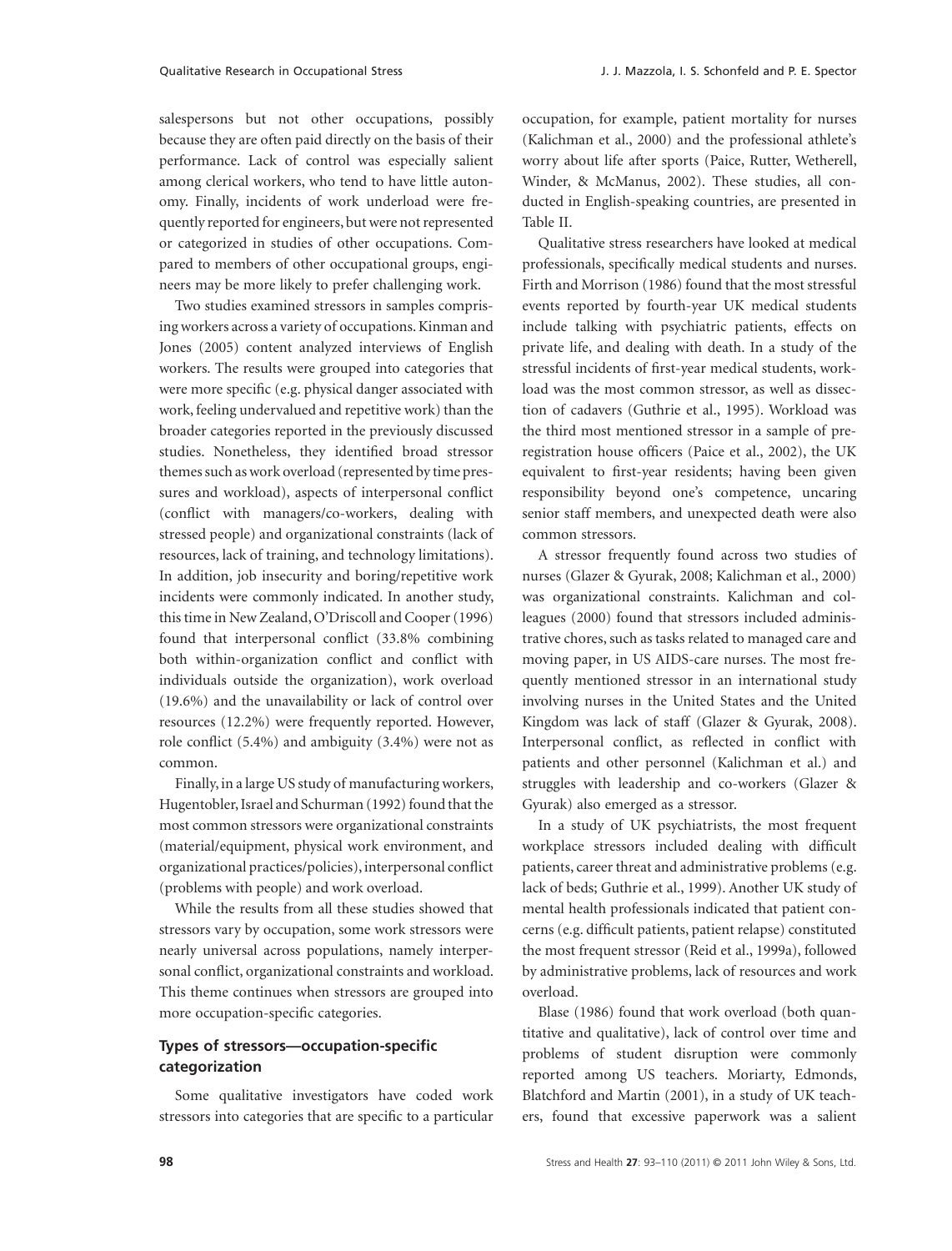salespersons but not other occupations, possibly because they are often paid directly on the basis of their performance. Lack of control was especially salient among clerical workers, who tend to have little autonomy. Finally, incidents of work underload were frequently reported for engineers, but were not represented or categorized in studies of other occupations. Compared to members of other occupational groups, engineers may be more likely to prefer challenging work.

Two studies examined stressors in samples comprising workers across a variety of occupations. Kinman and Jones (2005) content analyzed interviews of English workers. The results were grouped into categories that were more specific (e.g. physical danger associated with work, feeling undervalued and repetitive work) than the broader categories reported in the previously discussed studies. Nonetheless, they identified broad stressor themes such as work overload (represented by time pressures and workload), aspects of interpersonal conflict (conflict with managers/co-workers, dealing with stressed people) and organizational constraints (lack of resources, lack of training, and technology limitations). In addition, job insecurity and boring/repetitive work incidents were commonly indicated. In another study, this time in New Zealand, O'Driscoll and Cooper (1996) found that interpersonal conflict (33.8% combining both within-organization conflict and conflict with individuals outside the organization), work overload (19.6%) and the unavailability or lack of control over resources (12.2%) were frequently reported. However, role conflict  $(5.4\%)$  and ambiguity  $(3.4\%)$  were not as common.

Finally, in a large US study of manufacturing workers, Hugentobler, Israel and Schurman (1992) found that the most common stressors were organizational constraints (material/equipment, physical work environment, and organizational practices/policies), interpersonal conflict (problems with people) and work overload.

While the results from all these studies showed that stressors vary by occupation, some work stressors were nearly universal across populations, namely interpersonal conflict, organizational constraints and workload. This theme continues when stressors are grouped into more occupation-specific categories.

# **Types of stressors—occupation-specific categorization**

Some qualitative investigators have coded work stressors into categories that are specific to a particular occupation, for example, patient mortality for nurses (Kalichman et al., 2000) and the professional athlete's worry about life after sports (Paice, Rutter, Wetherell, Winder, & McManus, 2002). These studies, all conducted in English-speaking countries, are presented in Table II.

Qualitative stress researchers have looked at medical professionals, specifically medical students and nurses. Firth and Morrison (1986) found that the most stressful events reported by fourth-year UK medical students include talking with psychiatric patients, effects on private life, and dealing with death. In a study of the stressful incidents of first-year medical students, workload was the most common stressor, as well as dissection of cadavers (Guthrie et al., 1995). Workload was the third most mentioned stressor in a sample of preregistration house officers (Paice et al., 2002), the UK equivalent to first-year residents; having been given responsibility beyond one's competence, uncaring senior staff members, and unexpected death were also common stressors.

A stressor frequently found across two studies of nurses (Glazer & Gyurak, 2008; Kalichman et al., 2000) was organizational constraints. Kalichman and colleagues (2000) found that stressors included administrative chores, such as tasks related to managed care and moving paper, in US AIDS-care nurses. The most frequently mentioned stressor in an international study involving nurses in the United States and the United Kingdom was lack of staff (Glazer & Gyurak, 2008). Interpersonal conflict, as reflected in conflict with patients and other personnel (Kalichman et al.) and struggles with leadership and co-workers (Glazer & Gyurak) also emerged as a stressor.

In a study of UK psychiatrists, the most frequent workplace stressors included dealing with difficult patients, career threat and administrative problems (e.g. lack of beds; Guthrie et al., 1999). Another UK study of mental health professionals indicated that patient concerns (e.g. difficult patients, patient relapse) constituted the most frequent stressor (Reid et al., 1999a), followed by administrative problems, lack of resources and work overload.

Blase (1986) found that work overload (both quantitative and qualitative), lack of control over time and problems of student disruption were commonly reported among US teachers. Moriarty, Edmonds, Blatchford and Martin (2001), in a study of UK teachers, found that excessive paperwork was a salient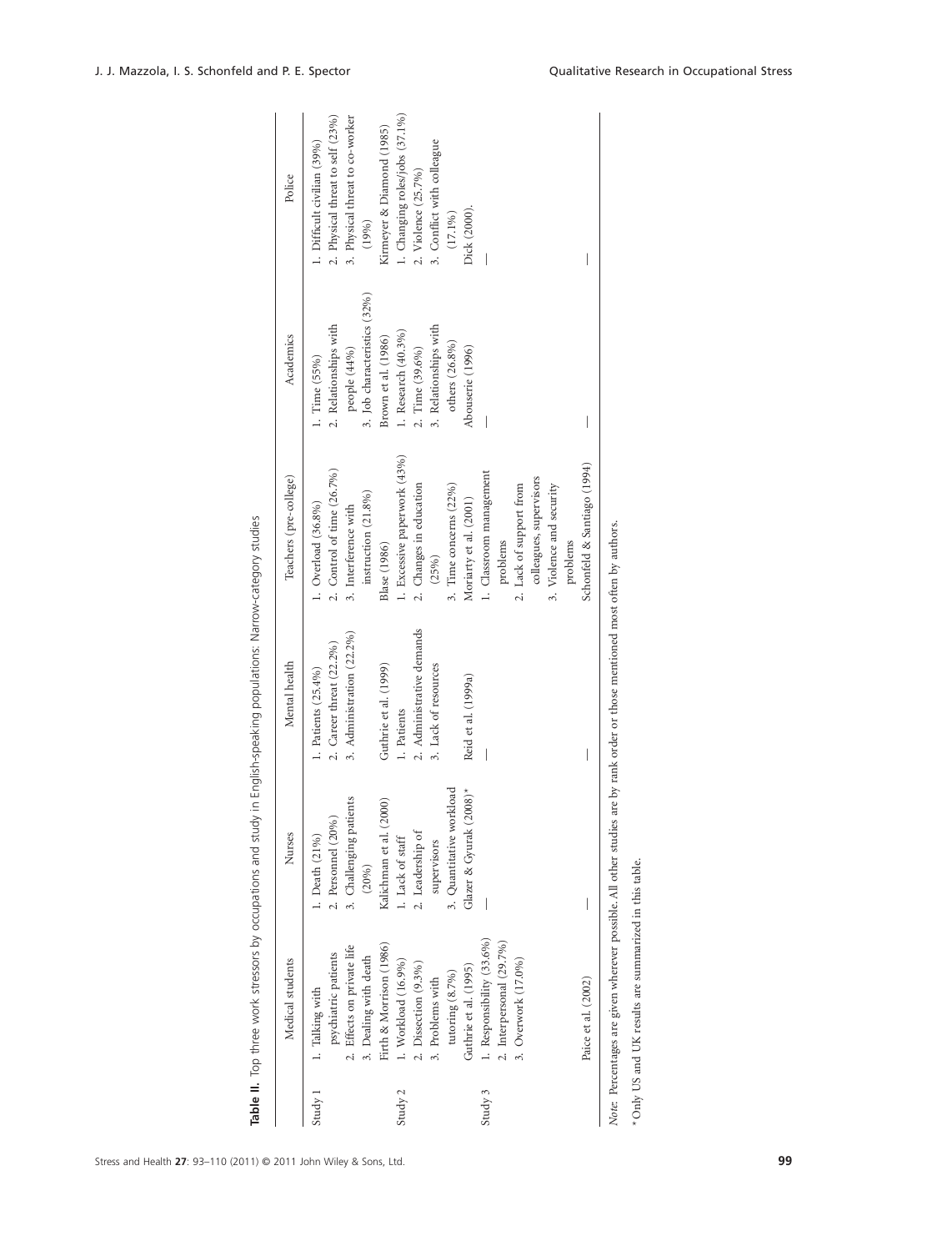|         | Medical students           | Nurses                     | Mental health             | Teachers (pre-college)        | Academics                    | Police                           |
|---------|----------------------------|----------------------------|---------------------------|-------------------------------|------------------------------|----------------------------------|
| Study 1 | 1. Talking with            | 1. Death (21%)             | 1. Patients (25.4%)       | 1. Overload (36.8%)           | 1. Time (55%)                | 1. Difficult civilian (39%)      |
|         | psychiatric patients       | 2. Personnel (20%)         | 2. Career threat (22.2%)  | 2. Control of time $(26.7\%)$ | 2. Relationships with        | 2. Physical threat to self (23%) |
|         | 2. Effects on private life | 3. Challenging patients    | 3. Administration (22.2%) | 3. Interference with          | people (44%)                 | 3. Physical threat to co-worker  |
|         | 3. Dealing with death      | (20%)                      |                           | instruction $(21.8\%)$        | 3. Job characteristics (32%) | (19%)                            |
|         | Firth & Morrison (1986)    | (2000)<br>Kalichman et al. | Guthrie et al. (1999)     | Blase (1986)                  | Brown et al. (1986)          | Kirmeyer & Diamond (1985)        |
| Study 2 | 1. Workload (16.9%)        | 1. Lack of staff           | 1. Patients               | 1. Excessive paperwork (43%)  | 1. Research (40.3%)          | 1. Changing roles/jobs (37.1%)   |
|         | 2. Dissection (9.3%)       | 2. Leadership of           | 2. Administrative demands | 2. Changes in education       | 2. Time (39.6%)              | 2. Violence (25.7%)              |
|         | 3. Problems with           | supervisors                | 3. Lack of resources      | (25%)                         | 3. Relationships with        | 3. Conflict with colleague       |
|         | tutoring $(8.7\%)$         | 3. Quantitative workload   |                           | 3. Time concerns (22%)        | others (26.8%)               | $(17.1\%)$                       |
|         | Guthrie et al. (1995)      | Glazer & Gyurak (2008)*    | Reid et al. (1999a)       | Moriarty et al. (2001)        | Abouserie (1996)             | Dick (2000).                     |
| Study 3 | 1. Responsibility (33.6%)  |                            |                           | 1. Classroom management       |                              |                                  |
|         | 2. Interpersonal (29.7%)   |                            |                           | problems                      |                              |                                  |
|         | 3. Overwork (17.0%)        |                            |                           | 2. Lack of support from       |                              |                                  |
|         |                            |                            |                           | colleagues, supervisors       |                              |                                  |
|         |                            |                            |                           | 3. Violence and security      |                              |                                  |
|         |                            |                            |                           | problems                      |                              |                                  |
|         | Paice et al. (2002)        | I                          | I                         | Schonfeld & Santiago (1994)   |                              |                                  |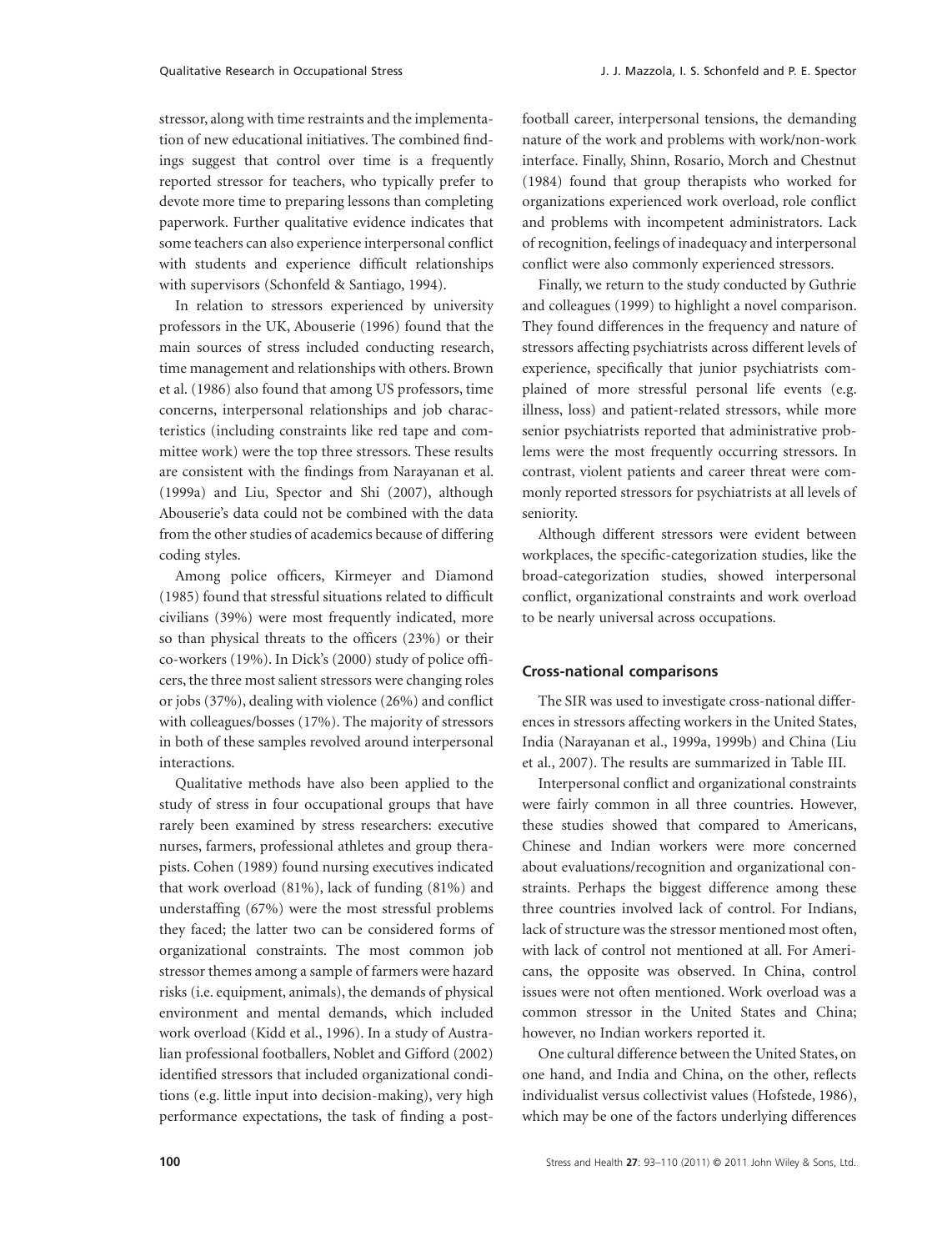stressor, along with time restraints and the implementation of new educational initiatives. The combined findings suggest that control over time is a frequently reported stressor for teachers, who typically prefer to devote more time to preparing lessons than completing paperwork. Further qualitative evidence indicates that some teachers can also experience interpersonal conflict with students and experience difficult relationships with supervisors (Schonfeld & Santiago, 1994).

In relation to stressors experienced by university professors in the UK, Abouserie (1996) found that the main sources of stress included conducting research, time management and relationships with others. Brown et al. (1986) also found that among US professors, time concerns, interpersonal relationships and job characteristics (including constraints like red tape and committee work) were the top three stressors. These results are consistent with the findings from Narayanan et al. (1999a) and Liu, Spector and Shi (2007), although Abouserie's data could not be combined with the data from the other studies of academics because of differing coding styles.

Among police officers, Kirmeyer and Diamond  $(1985)$  found that stressful situations related to difficult civilians (39%) were most frequently indicated, more so than physical threats to the officers (23%) or their co-workers (19%). In Dick's (2000) study of police offi cers, the three most salient stressors were changing roles or jobs  $(37%)$ , dealing with violence  $(26%)$  and conflict with colleagues/bosses (17%). The majority of stressors in both of these samples revolved around interpersonal interactions.

Qualitative methods have also been applied to the study of stress in four occupational groups that have rarely been examined by stress researchers: executive nurses, farmers, professional athletes and group therapists. Cohen (1989) found nursing executives indicated that work overload (81%), lack of funding (81%) and understaffing  $(67%)$  were the most stressful problems they faced; the latter two can be considered forms of organizational constraints. The most common job stressor themes among a sample of farmers were hazard risks (i.e. equipment, animals), the demands of physical environment and mental demands, which included work overload (Kidd et al., 1996). In a study of Australian professional footballers, Noblet and Gifford (2002) identified stressors that included organizational conditions (e.g. little input into decision-making), very high performance expectations, the task of finding a postfootball career, interpersonal tensions, the demanding nature of the work and problems with work/non-work interface. Finally, Shinn, Rosario, Morch and Chestnut (1984) found that group therapists who worked for organizations experienced work overload, role conflict and problems with incompetent administrators. Lack of recognition, feelings of inadequacy and interpersonal conflict were also commonly experienced stressors.

Finally, we return to the study conducted by Guthrie and colleagues (1999) to highlight a novel comparison. They found differences in the frequency and nature of stressors affecting psychiatrists across different levels of experience, specifically that junior psychiatrists complained of more stressful personal life events (e.g. illness, loss) and patient-related stressors, while more senior psychiatrists reported that administrative problems were the most frequently occurring stressors. In contrast, violent patients and career threat were commonly reported stressors for psychiatrists at all levels of seniority.

Although different stressors were evident between workplaces, the specific-categorization studies, like the broad-categorization studies, showed interpersonal conflict, organizational constraints and work overload to be nearly universal across occupations.

### **Cross-national comparisons**

The SIR was used to investigate cross-national differences in stressors affecting workers in the United States, India (Narayanan et al., 1999a, 1999b) and China (Liu et al., 2007). The results are summarized in Table III.

Interpersonal conflict and organizational constraints were fairly common in all three countries. However, these studies showed that compared to Americans, Chinese and Indian workers were more concerned about evaluations/recognition and organizational constraints. Perhaps the biggest difference among these three countries involved lack of control. For Indians, lack of structure was the stressor mentioned most often, with lack of control not mentioned at all. For Americans, the opposite was observed. In China, control issues were not often mentioned. Work overload was a common stressor in the United States and China; however, no Indian workers reported it.

One cultural difference between the United States, on one hand, and India and China, on the other, reflects individualist versus collectivist values (Hofstede, 1986), which may be one of the factors underlying differences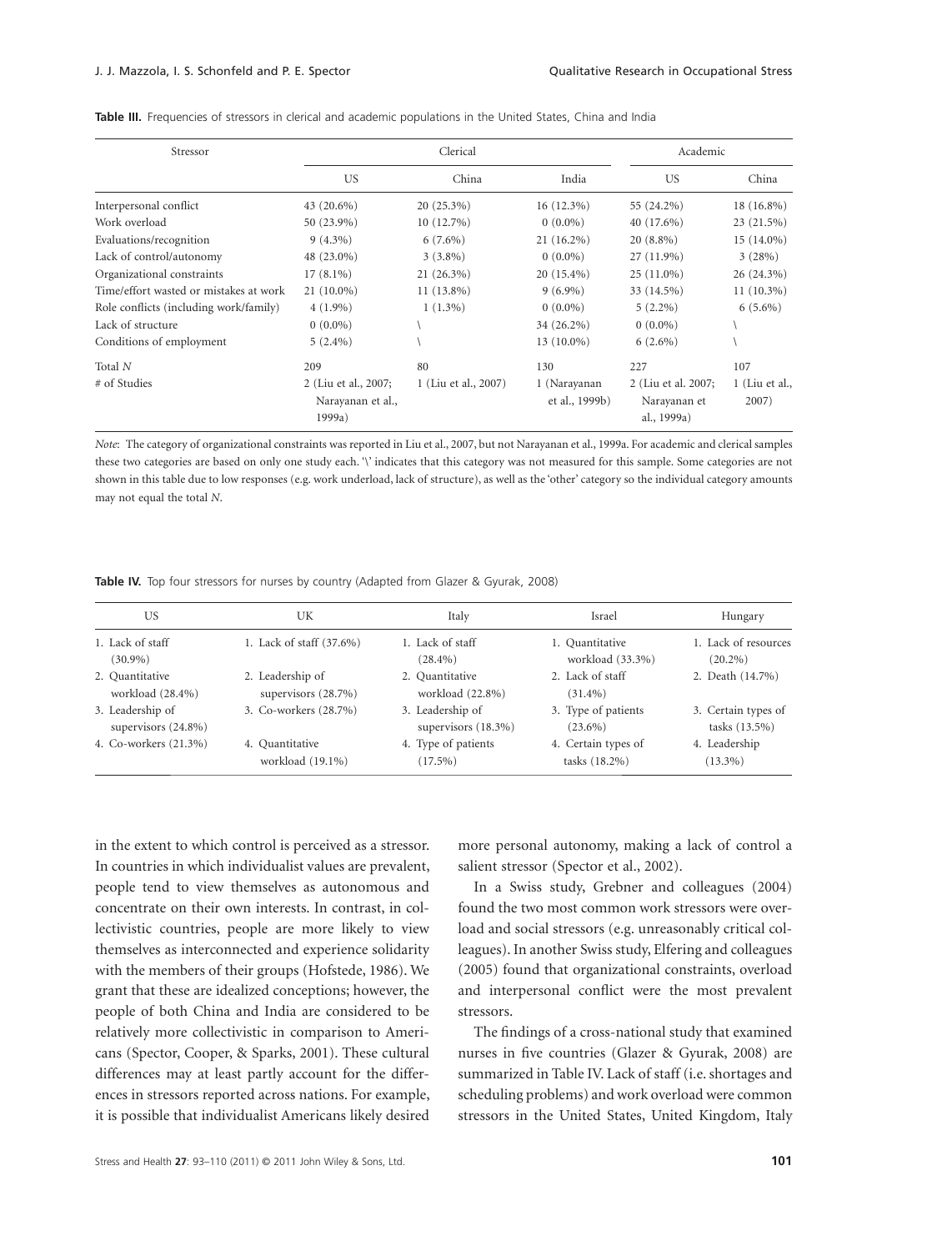| Stressor                               |                                                     | Clerical             | Academic                       |                                                    |                           |
|----------------------------------------|-----------------------------------------------------|----------------------|--------------------------------|----------------------------------------------------|---------------------------|
|                                        | US.                                                 | China                | India                          | US                                                 | China                     |
| Interpersonal conflict                 | 43 (20.6%)                                          | 20 (25.3%)           | $16(12.3\%)$                   | 55 (24.2%)                                         | 18 (16.8%)                |
| Work overload                          | 50 (23.9%)                                          | 10(12.7%)            | $0(0.0\%)$                     | 40 (17.6%)                                         | $23(21.5\%)$              |
| Evaluations/recognition                | $9(4.3\%)$                                          | $6(7.6\%)$           | $21(16.2\%)$                   | $20(8.8\%)$                                        | 15 (14.0%)                |
| Lack of control/autonomy               | 48 (23.0%)                                          | $3(3.8\%)$           | $0(0.0\%)$                     | 27 (11.9%)                                         | 3(28%)                    |
| Organizational constraints             | $17(8.1\%)$                                         | 21 (26.3%)           | $20(15.4\%)$                   | $25(11.0\%)$                                       | 26 (24.3%)                |
| Time/effort wasted or mistakes at work | $21(10.0\%)$                                        | $11(13.8\%)$         | $9(6.9\%)$                     | 33 (14.5%)                                         | $11(10.3\%)$              |
| Role conflicts (including work/family) | $4(1.9\%)$                                          | $1(1.3\%)$           | $0(0.0\%)$                     | $5(2.2\%)$                                         | $6(5.6\%)$                |
| Lack of structure                      | $0(0.0\%)$                                          |                      | 34 (26.2%)                     | $0(0.0\%)$                                         |                           |
| Conditions of employment               | $5(2.4\%)$                                          |                      | $13(10.0\%)$                   | $6(2.6\%)$                                         |                           |
| Total N                                | 209                                                 | 80                   | 130                            | 227                                                | 107                       |
| # of Studies                           | 2 (Liu et al., 2007;<br>Narayanan et al.,<br>1999a) | 1 (Liu et al., 2007) | 1 (Narayanan<br>et al., 1999b) | 2 (Liu et al. 2007;<br>Narayanan et<br>al., 1999a) | $1$ (Liu et al.,<br>2007) |

**Table III.** Frequencies of stressors in clerical and academic populations in the United States, China and India

*Note*: The category of organizational constraints was reported in Liu et al., 2007, but not Narayanan et al., 1999a. For academic and clerical samples these two categories are based on only one study each. '\' indicates that this category was not measured for this sample. Some categories are not shown in this table due to low responses (e.g. work underload, lack of structure), as well as the 'other' category so the individual category amounts may not equal the total *N*.

|  |  |  |  | <b>Table IV.</b> Top four stressors for nurses by country (Adapted from Glazer & Gyurak, 2008) |  |  |  |  |  |  |  |  |  |  |  |  |
|--|--|--|--|------------------------------------------------------------------------------------------------|--|--|--|--|--|--|--|--|--|--|--|--|
|--|--|--|--|------------------------------------------------------------------------------------------------|--|--|--|--|--|--|--|--|--|--|--|--|

| US                    | UK                       | Italy               | Israel              | Hungary              |
|-----------------------|--------------------------|---------------------|---------------------|----------------------|
| 1. Lack of staff      | 1. Lack of staff (37.6%) | 1. Lack of staff    | 1. Quantitative     | 1. Lack of resources |
| $(30.9\%)$            |                          | $(28.4\%)$          | workload (33.3%)    | $(20.2\%)$           |
| 2. Quantitative       | 2. Leadership of         | 2. Quantitative     | 2. Lack of staff    | 2. Death (14.7%)     |
| workload (28.4%)      | supervisors (28.7%)      | workload (22.8%)    | $(31.4\%)$          |                      |
| 3. Leadership of      | 3. Co-workers (28.7%)    | 3. Leadership of    | 3. Type of patients | 3. Certain types of  |
| supervisors (24.8%)   |                          | supervisors (18.3%) | $(23.6\%)$          | tasks (13.5%)        |
| 4. Co-workers (21.3%) | 4. Ouantitative          | 4. Type of patients | 4. Certain types of | 4. Leadership        |
|                       | workload (19.1%)         | $(17.5\%)$          | tasks (18.2%)       | $(13.3\%)$           |

in the extent to which control is perceived as a stressor. In countries in which individualist values are prevalent, people tend to view themselves as autonomous and concentrate on their own interests. In contrast, in collectivistic countries, people are more likely to view themselves as interconnected and experience solidarity with the members of their groups (Hofstede, 1986). We grant that these are idealized conceptions; however, the people of both China and India are considered to be relatively more collectivistic in comparison to Americans (Spector, Cooper, & Sparks, 2001). These cultural differences may at least partly account for the differences in stressors reported across nations. For example, it is possible that individualist Americans likely desired more personal autonomy, making a lack of control a salient stressor (Spector et al., 2002).

In a Swiss study, Grebner and colleagues (2004) found the two most common work stressors were overload and social stressors (e.g. unreasonably critical colleagues). In another Swiss study, Elfering and colleagues (2005) found that organizational constraints, overload and interpersonal conflict were the most prevalent stressors.

The findings of a cross-national study that examined nurses in five countries (Glazer & Gyurak, 2008) are summarized in Table IV. Lack of staff (i.e. shortages and scheduling problems) and work overload were common stressors in the United States, United Kingdom, Italy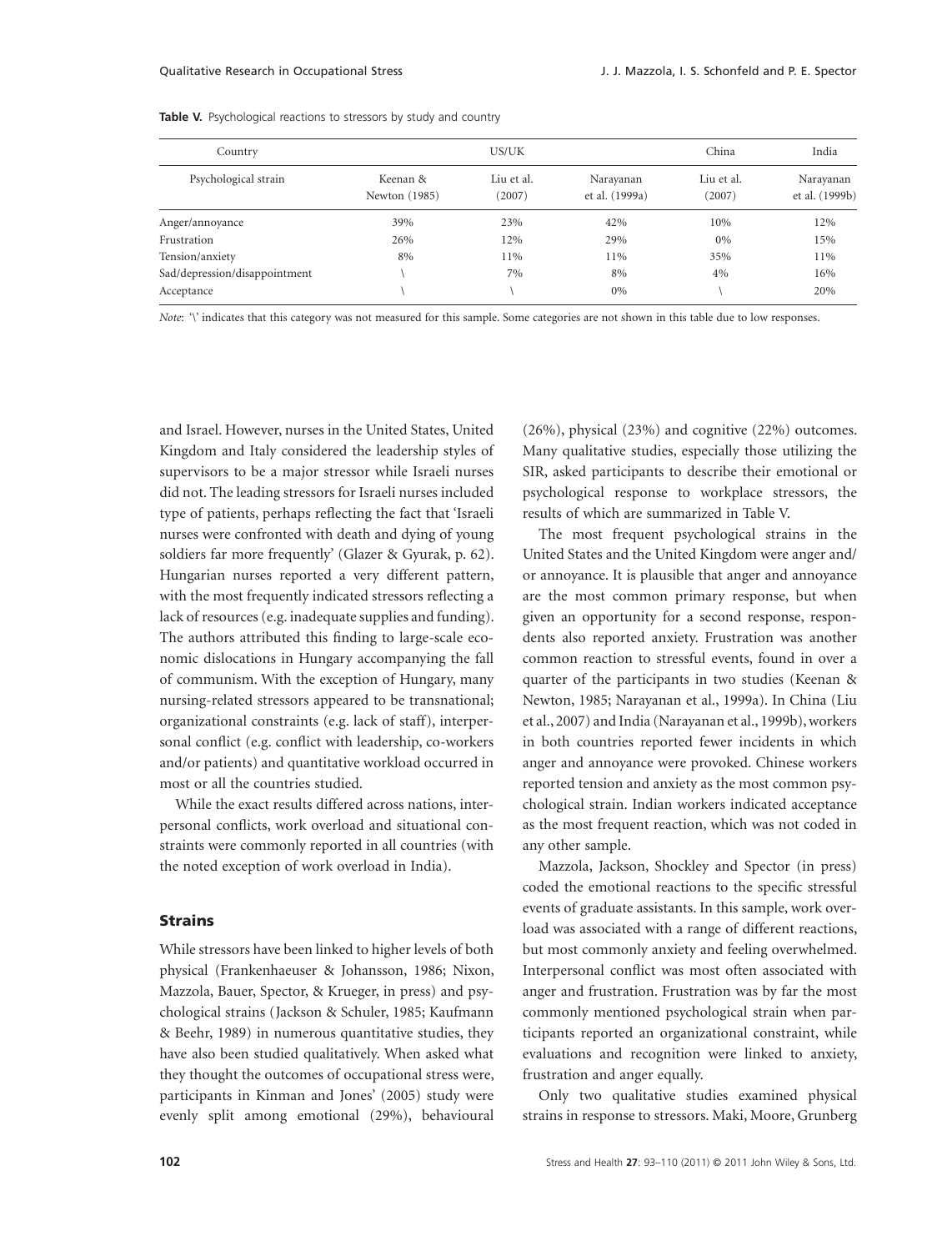| Country                       |                           | US/UK                |                             | China                | India                       |
|-------------------------------|---------------------------|----------------------|-----------------------------|----------------------|-----------------------------|
| Psychological strain          | Keenan &<br>Newton (1985) | Liu et al.<br>(2007) | Narayanan<br>et al. (1999a) | Liu et al.<br>(2007) | Narayanan<br>et al. (1999b) |
| Anger/annoyance               | 39%                       | 23%                  | 42%                         | 10%                  | 12%                         |
| Frustration                   | 26%                       | 12%                  | 29%                         | $0\%$                | 15%                         |
| Tension/anxiety               | 8%                        | 11%                  | 11%                         | 35%                  | 11%                         |
| Sad/depression/disappointment |                           | 7%                   | 8%                          | $4\%$                | 16%                         |
| Acceptance                    |                           |                      | $0\%$                       |                      | 20%                         |

Table V. Psychological reactions to stressors by study and country

*Note*: '\' indicates that this category was not measured for this sample. Some categories are not shown in this table due to low responses.

and Israel. However, nurses in the United States, United Kingdom and Italy considered the leadership styles of supervisors to be a major stressor while Israeli nurses did not. The leading stressors for Israeli nurses included type of patients, perhaps reflecting the fact that 'Israeli nurses were confronted with death and dying of young soldiers far more frequently' (Glazer & Gyurak, p. 62). Hungarian nurses reported a very different pattern, with the most frequently indicated stressors reflecting a lack of resources (e.g. inadequate supplies and funding). The authors attributed this finding to large-scale economic dislocations in Hungary accompanying the fall of communism. With the exception of Hungary, many nursing-related stressors appeared to be transnational; organizational constraints (e.g. lack of staff), interpersonal conflict (e.g. conflict with leadership, co-workers and/or patients) and quantitative workload occurred in most or all the countries studied.

While the exact results differed across nations, interpersonal conflicts, work overload and situational constraints were commonly reported in all countries (with the noted exception of work overload in India).

### **Strains**

While stressors have been linked to higher levels of both physical (Frankenhaeuser & Johansson, 1986; Nixon, Mazzola, Bauer, Spector, & Krueger, in press) and psychological strains (Jackson & Schuler, 1985; Kaufmann & Beehr, 1989) in numerous quantitative studies, they have also been studied qualitatively. When asked what they thought the outcomes of occupational stress were, participants in Kinman and Jones' (2005) study were evenly split among emotional (29%), behavioural (26%), physical (23%) and cognitive (22%) outcomes. Many qualitative studies, especially those utilizing the SIR, asked participants to describe their emotional or psychological response to workplace stressors, the results of which are summarized in Table V.

The most frequent psychological strains in the United States and the United Kingdom were anger and/ or annoyance. It is plausible that anger and annoyance are the most common primary response, but when given an opportunity for a second response, respondents also reported anxiety. Frustration was another common reaction to stressful events, found in over a quarter of the participants in two studies (Keenan & Newton, 1985; Narayanan et al., 1999a). In China (Liu et al., 2007) and India (Narayanan et al., 1999b), workers in both countries reported fewer incidents in which anger and annoyance were provoked. Chinese workers reported tension and anxiety as the most common psychological strain. Indian workers indicated acceptance as the most frequent reaction, which was not coded in any other sample.

Mazzola, Jackson, Shockley and Spector (in press) coded the emotional reactions to the specific stressful events of graduate assistants. In this sample, work overload was associated with a range of different reactions, but most commonly anxiety and feeling overwhelmed. Interpersonal conflict was most often associated with anger and frustration. Frustration was by far the most commonly mentioned psychological strain when participants reported an organizational constraint, while evaluations and recognition were linked to anxiety, frustration and anger equally.

Only two qualitative studies examined physical strains in response to stressors. Maki, Moore, Grunberg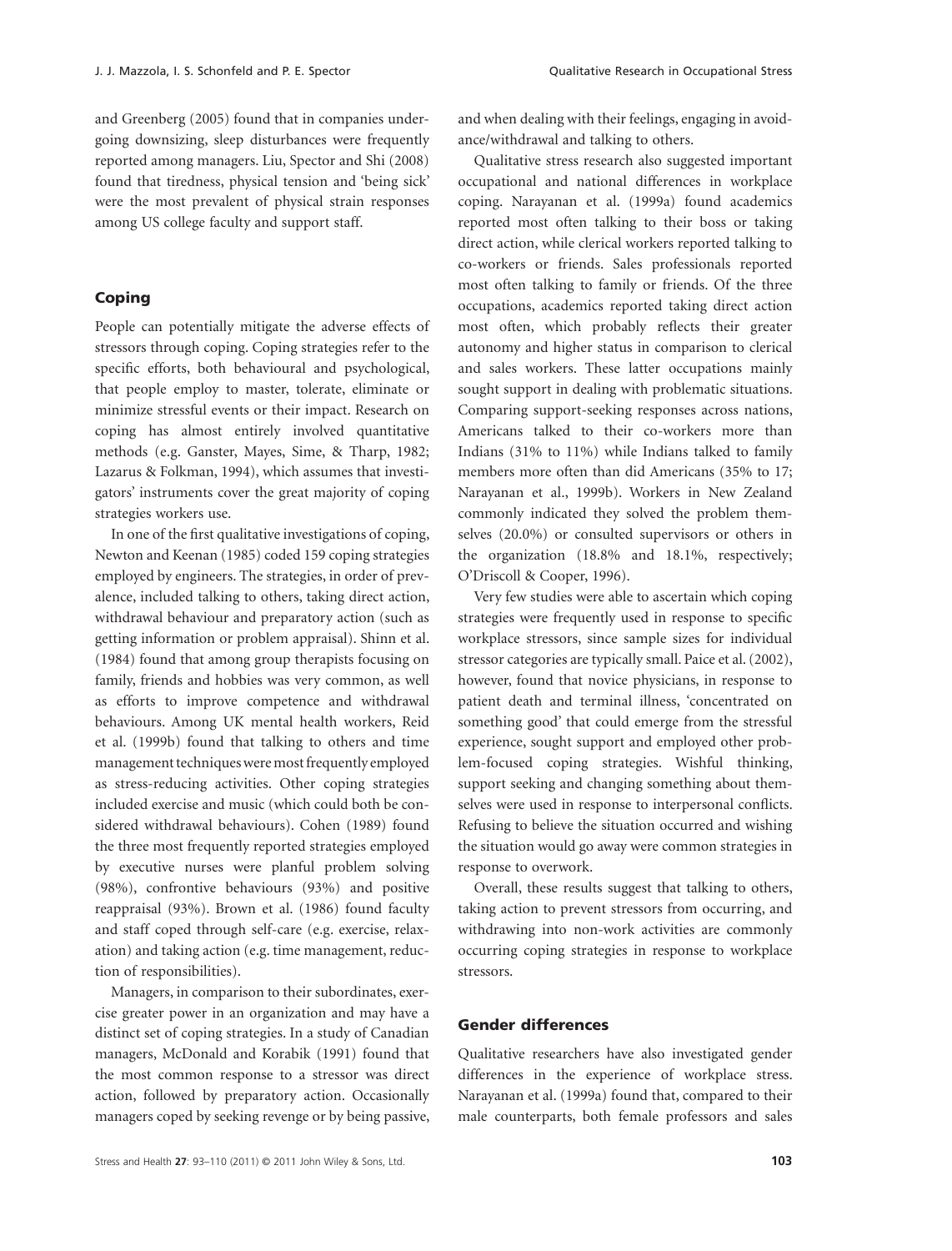and Greenberg (2005) found that in companies undergoing downsizing, sleep disturbances were frequently reported among managers. Liu, Spector and Shi (2008) found that tiredness, physical tension and 'being sick' were the most prevalent of physical strain responses among US college faculty and support staff.

# **Coping**

People can potentially mitigate the adverse effects of stressors through coping. Coping strategies refer to the specific efforts, both behavioural and psychological, that people employ to master, tolerate, eliminate or minimize stressful events or their impact. Research on coping has almost entirely involved quantitative methods (e.g. Ganster, Mayes, Sime, & Tharp, 1982; Lazarus & Folkman, 1994), which assumes that investigators' instruments cover the great majority of coping strategies workers use.

In one of the first qualitative investigations of coping, Newton and Keenan (1985) coded 159 coping strategies employed by engineers. The strategies, in order of prevalence, included talking to others, taking direct action, withdrawal behaviour and preparatory action (such as getting information or problem appraisal). Shinn et al. (1984) found that among group therapists focusing on family, friends and hobbies was very common, as well as efforts to improve competence and withdrawal behaviours. Among UK mental health workers, Reid et al. (1999b) found that talking to others and time management techniques were most frequently employed as stress-reducing activities. Other coping strategies included exercise and music (which could both be considered withdrawal behaviours). Cohen (1989) found the three most frequently reported strategies employed by executive nurses were planful problem solving (98%), confrontive behaviours (93%) and positive reappraisal (93%). Brown et al. (1986) found faculty and staff coped through self-care (e.g. exercise, relaxation) and taking action (e.g. time management, reduction of responsibilities).

Managers, in comparison to their subordinates, exercise greater power in an organization and may have a distinct set of coping strategies. In a study of Canadian managers, McDonald and Korabik (1991) found that the most common response to a stressor was direct action, followed by preparatory action. Occasionally managers coped by seeking revenge or by being passive, and when dealing with their feelings, engaging in avoidance/withdrawal and talking to others.

Qualitative stress research also suggested important occupational and national differences in workplace coping. Narayanan et al. (1999a) found academics reported most often talking to their boss or taking direct action, while clerical workers reported talking to co-workers or friends. Sales professionals reported most often talking to family or friends. Of the three occupations, academics reported taking direct action most often, which probably reflects their greater autonomy and higher status in comparison to clerical and sales workers. These latter occupations mainly sought support in dealing with problematic situations. Comparing support-seeking responses across nations, Americans talked to their co-workers more than Indians (31% to 11%) while Indians talked to family members more often than did Americans (35% to 17; Narayanan et al., 1999b). Workers in New Zealand commonly indicated they solved the problem themselves (20.0%) or consulted supervisors or others in the organization (18.8% and 18.1%, respectively; O'Driscoll & Cooper, 1996).

Very few studies were able to ascertain which coping strategies were frequently used in response to specific workplace stressors, since sample sizes for individual stressor categories are typically small. Paice et al. (2002), however, found that novice physicians, in response to patient death and terminal illness, 'concentrated on something good' that could emerge from the stressful experience, sought support and employed other problem-focused coping strategies. Wishful thinking, support seeking and changing something about themselves were used in response to interpersonal conflicts. Refusing to believe the situation occurred and wishing the situation would go away were common strategies in response to overwork.

Overall, these results suggest that talking to others, taking action to prevent stressors from occurring, and withdrawing into non-work activities are commonly occurring coping strategies in response to workplace stressors.

# **Gender differences**

Qualitative researchers have also investigated gender differences in the experience of workplace stress. Narayanan et al. (1999a) found that, compared to their male counterparts, both female professors and sales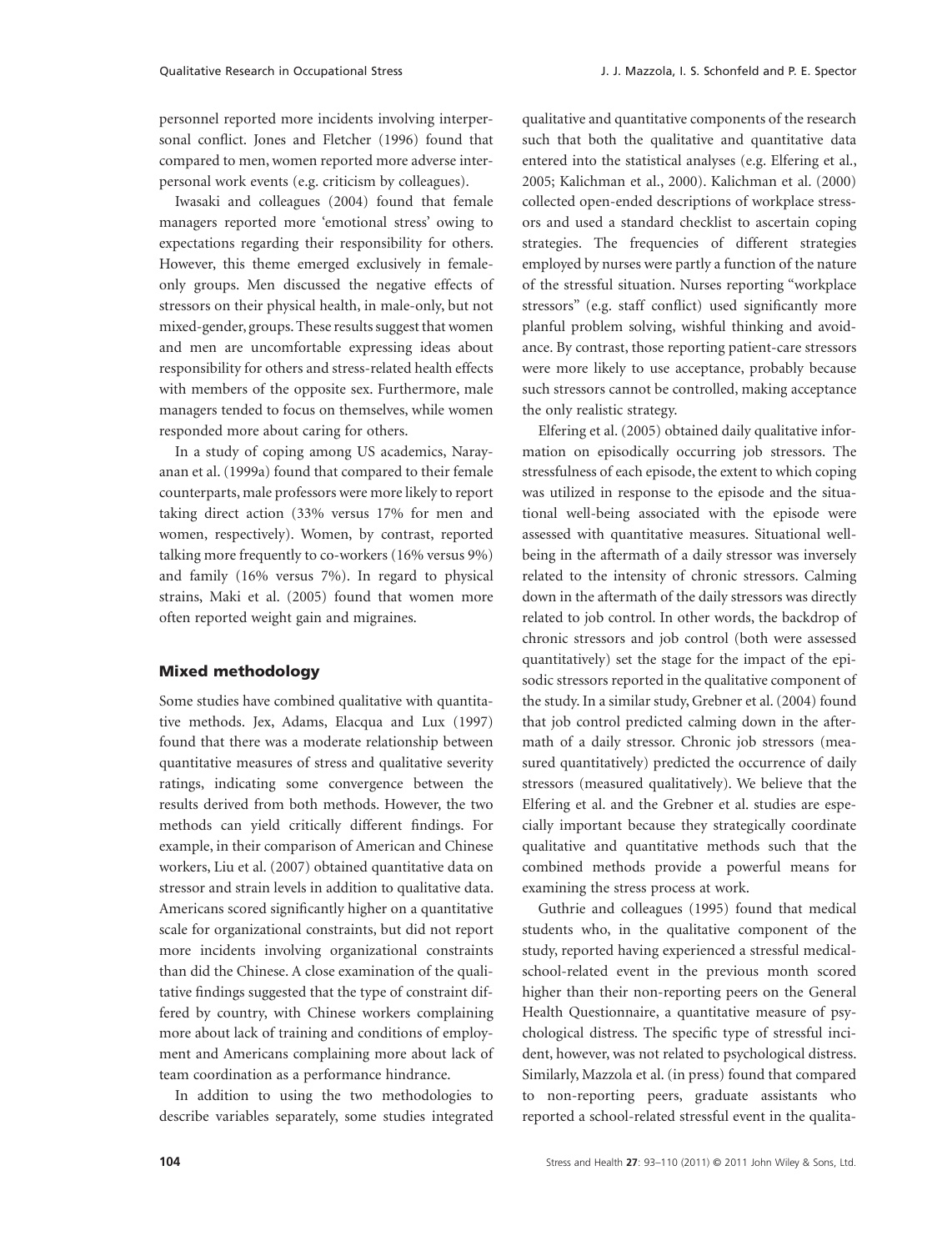personnel reported more incidents involving interpersonal conflict. Jones and Fletcher (1996) found that compared to men, women reported more adverse interpersonal work events (e.g. criticism by colleagues).

Iwasaki and colleagues (2004) found that female managers reported more 'emotional stress' owing to expectations regarding their responsibility for others. However, this theme emerged exclusively in femaleonly groups. Men discussed the negative effects of stressors on their physical health, in male-only, but not mixed-gender, groups. These results suggest that women and men are uncomfortable expressing ideas about responsibility for others and stress-related health effects with members of the opposite sex. Furthermore, male managers tended to focus on themselves, while women responded more about caring for others.

In a study of coping among US academics, Narayanan et al. (1999a) found that compared to their female counterparts, male professors were more likely to report taking direct action (33% versus 17% for men and women, respectively). Women, by contrast, reported talking more frequently to co-workers (16% versus 9%) and family (16% versus 7%). In regard to physical strains, Maki et al. (2005) found that women more often reported weight gain and migraines.

#### **Mixed methodology**

Some studies have combined qualitative with quantitative methods. Jex, Adams, Elacqua and Lux (1997) found that there was a moderate relationship between quantitative measures of stress and qualitative severity ratings, indicating some convergence between the results derived from both methods. However, the two methods can yield critically different findings. For example, in their comparison of American and Chinese workers, Liu et al. (2007) obtained quantitative data on stressor and strain levels in addition to qualitative data. Americans scored significantly higher on a quantitative scale for organizational constraints, but did not report more incidents involving organizational constraints than did the Chinese. A close examination of the qualitative findings suggested that the type of constraint differed by country, with Chinese workers complaining more about lack of training and conditions of employment and Americans complaining more about lack of team coordination as a performance hindrance.

In addition to using the two methodologies to describe variables separately, some studies integrated qualitative and quantitative components of the research such that both the qualitative and quantitative data entered into the statistical analyses (e.g. Elfering et al., 2005; Kalichman et al., 2000). Kalichman et al. (2000) collected open-ended descriptions of workplace stressors and used a standard checklist to ascertain coping strategies. The frequencies of different strategies employed by nurses were partly a function of the nature of the stressful situation. Nurses reporting "workplace stressors" (e.g. staff conflict) used significantly more planful problem solving, wishful thinking and avoidance. By contrast, those reporting patient-care stressors were more likely to use acceptance, probably because such stressors cannot be controlled, making acceptance the only realistic strategy.

Elfering et al. (2005) obtained daily qualitative information on episodically occurring job stressors. The stressfulness of each episode, the extent to which coping was utilized in response to the episode and the situational well-being associated with the episode were assessed with quantitative measures. Situational wellbeing in the aftermath of a daily stressor was inversely related to the intensity of chronic stressors. Calming down in the aftermath of the daily stressors was directly related to job control. In other words, the backdrop of chronic stressors and job control (both were assessed quantitatively) set the stage for the impact of the episodic stressors reported in the qualitative component of the study. In a similar study, Grebner et al. (2004) found that job control predicted calming down in the aftermath of a daily stressor. Chronic job stressors (measured quantitatively) predicted the occurrence of daily stressors (measured qualitatively). We believe that the Elfering et al. and the Grebner et al. studies are especially important because they strategically coordinate qualitative and quantitative methods such that the combined methods provide a powerful means for examining the stress process at work.

Guthrie and colleagues (1995) found that medical students who, in the qualitative component of the study, reported having experienced a stressful medicalschool-related event in the previous month scored higher than their non-reporting peers on the General Health Questionnaire, a quantitative measure of psychological distress. The specific type of stressful incident, however, was not related to psychological distress. Similarly, Mazzola et al. (in press) found that compared to non-reporting peers, graduate assistants who reported a school-related stressful event in the qualita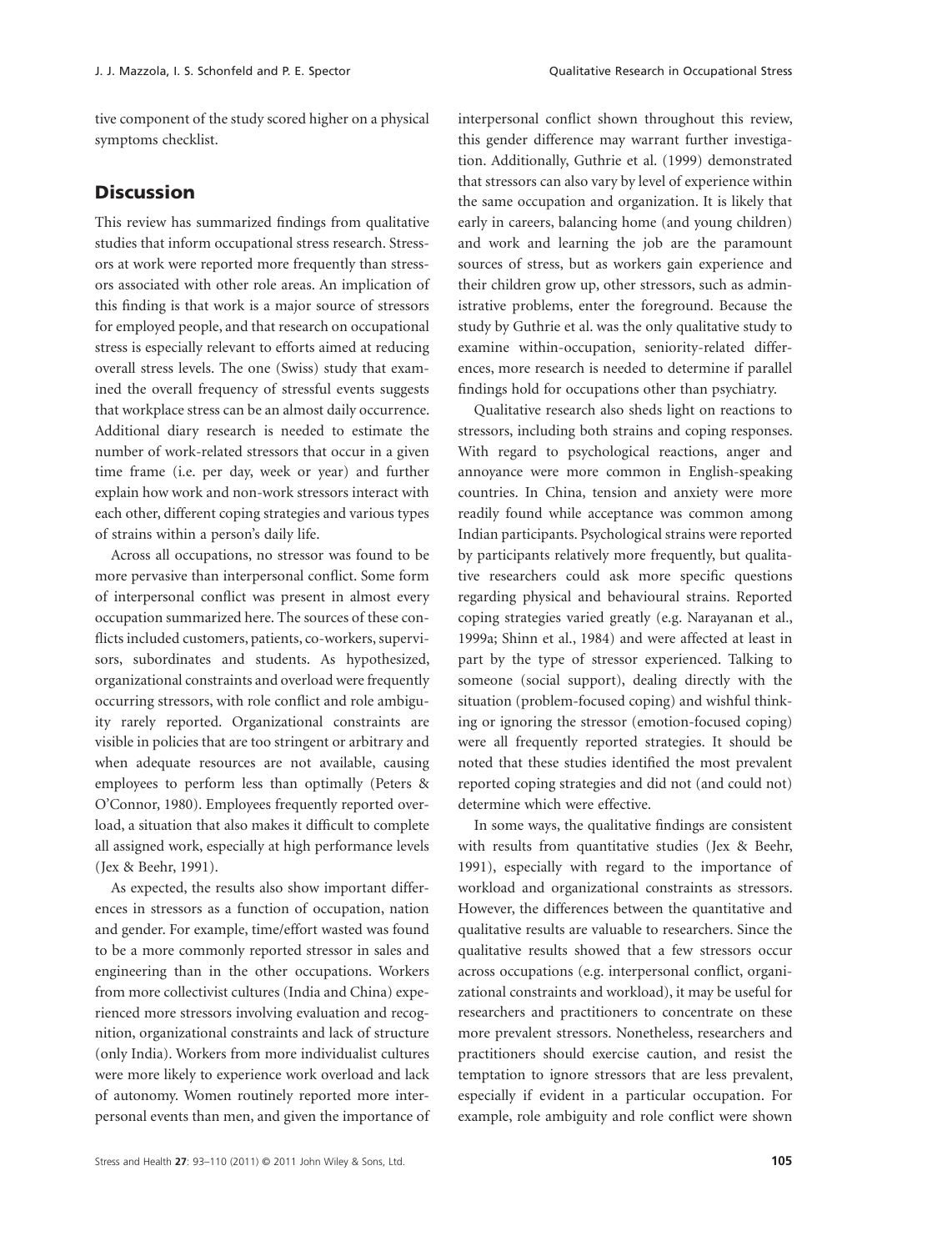tive component of the study scored higher on a physical symptoms checklist.

# **Discussion**

This review has summarized findings from qualitative studies that inform occupational stress research. Stressors at work were reported more frequently than stressors associated with other role areas. An implication of this finding is that work is a major source of stressors for employed people, and that research on occupational stress is especially relevant to efforts aimed at reducing overall stress levels. The one (Swiss) study that examined the overall frequency of stressful events suggests that workplace stress can be an almost daily occurrence. Additional diary research is needed to estimate the number of work-related stressors that occur in a given time frame (i.e. per day, week or year) and further explain how work and non-work stressors interact with each other, different coping strategies and various types of strains within a person's daily life.

Across all occupations, no stressor was found to be more pervasive than interpersonal conflict. Some form of interpersonal conflict was present in almost every occupation summarized here. The sources of these conflicts included customers, patients, co-workers, supervisors, subordinates and students. As hypothesized, organizational constraints and overload were frequently occurring stressors, with role conflict and role ambiguity rarely reported. Organizational constraints are visible in policies that are too stringent or arbitrary and when adequate resources are not available, causing employees to perform less than optimally (Peters & O'Connor, 1980). Employees frequently reported overload, a situation that also makes it difficult to complete all assigned work, especially at high performance levels (Jex & Beehr, 1991).

As expected, the results also show important differences in stressors as a function of occupation, nation and gender. For example, time/effort wasted was found to be a more commonly reported stressor in sales and engineering than in the other occupations. Workers from more collectivist cultures (India and China) experienced more stressors involving evaluation and recognition, organizational constraints and lack of structure (only India). Workers from more individualist cultures were more likely to experience work overload and lack of autonomy. Women routinely reported more interpersonal events than men, and given the importance of interpersonal conflict shown throughout this review, this gender difference may warrant further investigation. Additionally, Guthrie et al. (1999) demonstrated that stressors can also vary by level of experience within the same occupation and organization. It is likely that early in careers, balancing home (and young children) and work and learning the job are the paramount sources of stress, but as workers gain experience and their children grow up, other stressors, such as administrative problems, enter the foreground. Because the study by Guthrie et al. was the only qualitative study to examine within-occupation, seniority-related differences, more research is needed to determine if parallel findings hold for occupations other than psychiatry.

Qualitative research also sheds light on reactions to stressors, including both strains and coping responses. With regard to psychological reactions, anger and annoyance were more common in English-speaking countries. In China, tension and anxiety were more readily found while acceptance was common among Indian participants. Psychological strains were reported by participants relatively more frequently, but qualitative researchers could ask more specific questions regarding physical and behavioural strains. Reported coping strategies varied greatly (e.g. Narayanan et al., 1999a; Shinn et al., 1984) and were affected at least in part by the type of stressor experienced. Talking to someone (social support), dealing directly with the situation (problem-focused coping) and wishful thinking or ignoring the stressor (emotion-focused coping) were all frequently reported strategies. It should be noted that these studies identified the most prevalent reported coping strategies and did not (and could not) determine which were effective.

In some ways, the qualitative findings are consistent with results from quantitative studies (Jex & Beehr, 1991), especially with regard to the importance of workload and organizational constraints as stressors. However, the differences between the quantitative and qualitative results are valuable to researchers. Since the qualitative results showed that a few stressors occur across occupations (e.g. interpersonal conflict, organizational constraints and workload), it may be useful for researchers and practitioners to concentrate on these more prevalent stressors. Nonetheless, researchers and practitioners should exercise caution, and resist the temptation to ignore stressors that are less prevalent, especially if evident in a particular occupation. For example, role ambiguity and role conflict were shown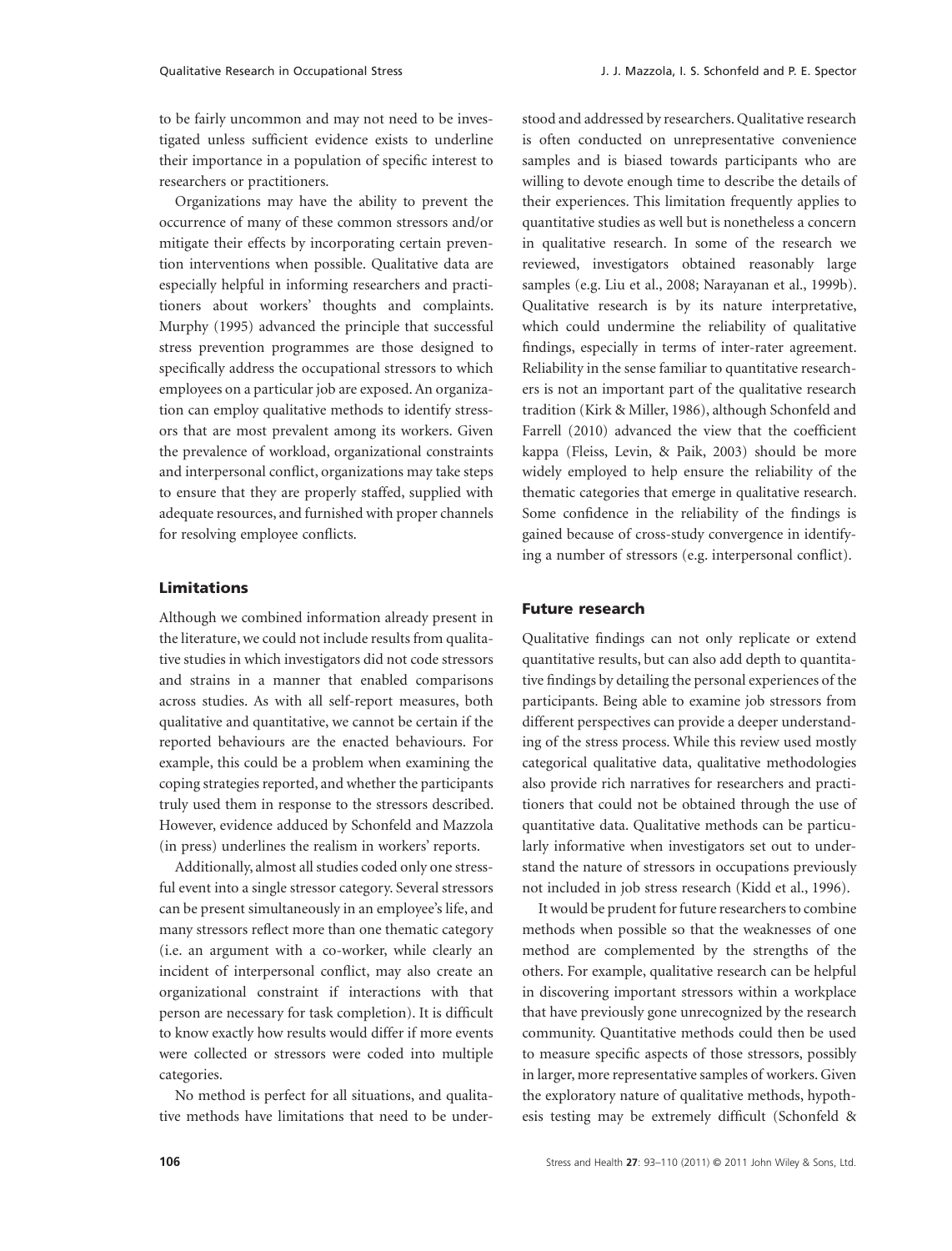to be fairly uncommon and may not need to be investigated unless sufficient evidence exists to underline their importance in a population of specific interest to researchers or practitioners.

Organizations may have the ability to prevent the occurrence of many of these common stressors and/or mitigate their effects by incorporating certain prevention interventions when possible. Qualitative data are especially helpful in informing researchers and practitioners about workers' thoughts and complaints. Murphy (1995) advanced the principle that successful stress prevention programmes are those designed to specifically address the occupational stressors to which employees on a particular job are exposed. An organization can employ qualitative methods to identify stressors that are most prevalent among its workers. Given the prevalence of workload, organizational constraints and interpersonal conflict, organizations may take steps to ensure that they are properly staffed, supplied with adequate resources, and furnished with proper channels for resolving employee conflicts.

# **Limitations**

Although we combined information already present in the literature, we could not include results from qualitative studies in which investigators did not code stressors and strains in a manner that enabled comparisons across studies. As with all self-report measures, both qualitative and quantitative, we cannot be certain if the reported behaviours are the enacted behaviours. For example, this could be a problem when examining the coping strategies reported, and whether the participants truly used them in response to the stressors described. However, evidence adduced by Schonfeld and Mazzola (in press) underlines the realism in workers' reports.

Additionally, almost all studies coded only one stressful event into a single stressor category. Several stressors can be present simultaneously in an employee's life, and many stressors reflect more than one thematic category (i.e. an argument with a co-worker, while clearly an incident of interpersonal conflict, may also create an organizational constraint if interactions with that person are necessary for task completion). It is difficult to know exactly how results would differ if more events were collected or stressors were coded into multiple categories.

No method is perfect for all situations, and qualitative methods have limitations that need to be understood and addressed by researchers. Qualitative research is often conducted on unrepresentative convenience samples and is biased towards participants who are willing to devote enough time to describe the details of their experiences. This limitation frequently applies to quantitative studies as well but is nonetheless a concern in qualitative research. In some of the research we reviewed, investigators obtained reasonably large samples (e.g. Liu et al., 2008; Narayanan et al., 1999b). Qualitative research is by its nature interpretative, which could undermine the reliability of qualitative findings, especially in terms of inter-rater agreement. Reliability in the sense familiar to quantitative researchers is not an important part of the qualitative research tradition (Kirk & Miller, 1986), although Schonfeld and Farrell (2010) advanced the view that the coefficient kappa (Fleiss, Levin, & Paik, 2003) should be more widely employed to help ensure the reliability of the thematic categories that emerge in qualitative research. Some confidence in the reliability of the findings is gained because of cross-study convergence in identifying a number of stressors (e.g. interpersonal conflict).

### **Future research**

Qualitative findings can not only replicate or extend quantitative results, but can also add depth to quantitative findings by detailing the personal experiences of the participants. Being able to examine job stressors from different perspectives can provide a deeper understanding of the stress process. While this review used mostly categorical qualitative data, qualitative methodologies also provide rich narratives for researchers and practitioners that could not be obtained through the use of quantitative data. Qualitative methods can be particularly informative when investigators set out to understand the nature of stressors in occupations previously not included in job stress research (Kidd et al., 1996).

It would be prudent for future researchers to combine methods when possible so that the weaknesses of one method are complemented by the strengths of the others. For example, qualitative research can be helpful in discovering important stressors within a workplace that have previously gone unrecognized by the research community. Quantitative methods could then be used to measure specific aspects of those stressors, possibly in larger, more representative samples of workers. Given the exploratory nature of qualitative methods, hypothesis testing may be extremely difficult (Schonfeld &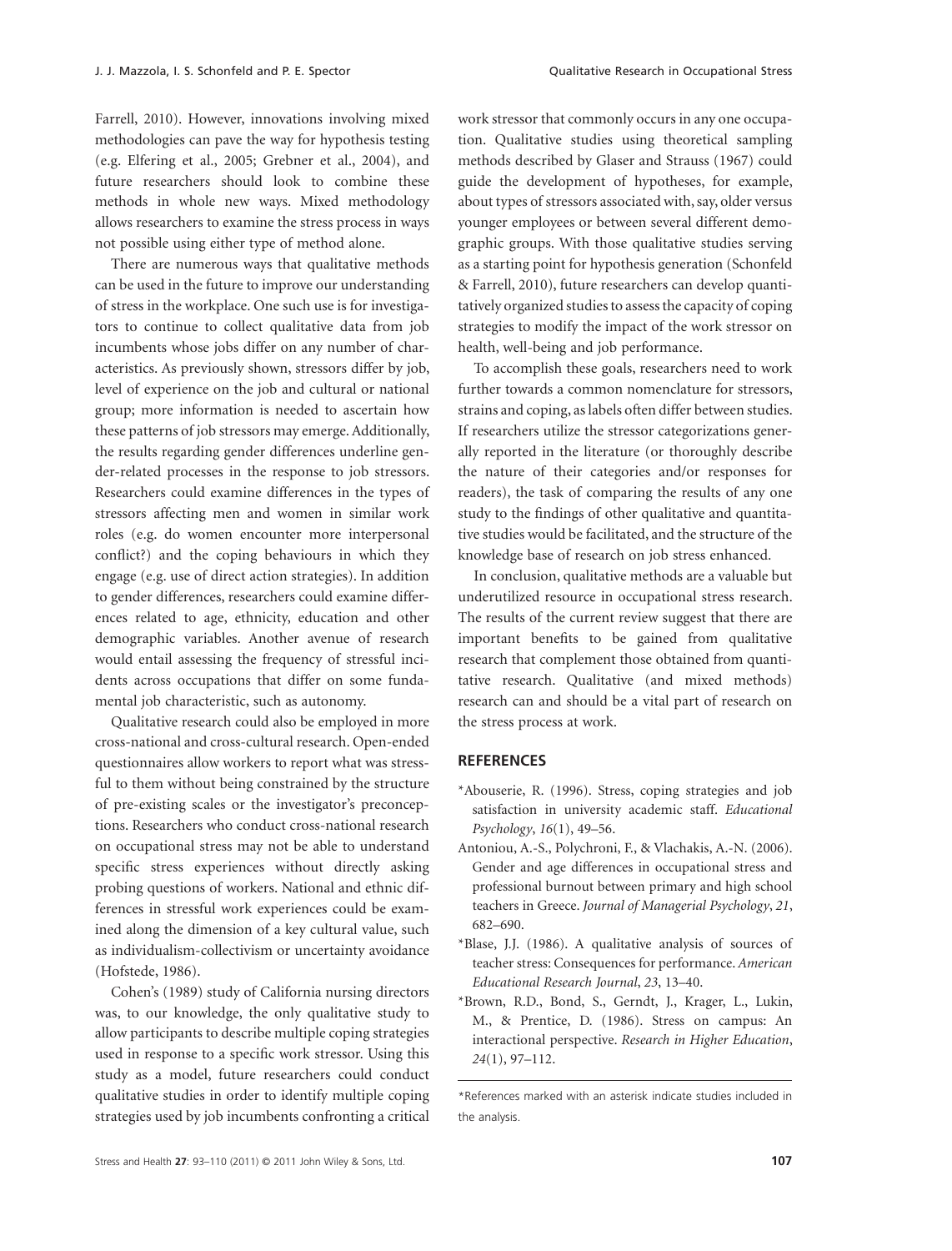Farrell, 2010). However, innovations involving mixed methodologies can pave the way for hypothesis testing (e.g. Elfering et al., 2005; Grebner et al., 2004), and future researchers should look to combine these methods in whole new ways. Mixed methodology allows researchers to examine the stress process in ways not possible using either type of method alone.

There are numerous ways that qualitative methods can be used in the future to improve our understanding of stress in the workplace. One such use is for investigators to continue to collect qualitative data from job incumbents whose jobs differ on any number of characteristics. As previously shown, stressors differ by job, level of experience on the job and cultural or national group; more information is needed to ascertain how these patterns of job stressors may emerge. Additionally, the results regarding gender differences underline gender-related processes in the response to job stressors. Researchers could examine differences in the types of stressors affecting men and women in similar work roles (e.g. do women encounter more interpersonal conflict?) and the coping behaviours in which they engage (e.g. use of direct action strategies). In addition to gender differences, researchers could examine differences related to age, ethnicity, education and other demographic variables. Another avenue of research would entail assessing the frequency of stressful incidents across occupations that differ on some fundamental job characteristic, such as autonomy.

Qualitative research could also be employed in more cross-national and cross-cultural research. Open-ended questionnaires allow workers to report what was stressful to them without being constrained by the structure of pre-existing scales or the investigator's preconceptions. Researchers who conduct cross-national research on occupational stress may not be able to understand specific stress experiences without directly asking probing questions of workers. National and ethnic differences in stressful work experiences could be examined along the dimension of a key cultural value, such as individualism-collectivism or uncertainty avoidance (Hofstede, 1986).

Cohen's (1989) study of California nursing directors was, to our knowledge, the only qualitative study to allow participants to describe multiple coping strategies used in response to a specific work stressor. Using this study as a model, future researchers could conduct qualitative studies in order to identify multiple coping strategies used by job incumbents confronting a critical work stressor that commonly occurs in any one occupation. Qualitative studies using theoretical sampling methods described by Glaser and Strauss (1967) could guide the development of hypotheses, for example, about types of stressors associated with, say, older versus younger employees or between several different demographic groups. With those qualitative studies serving as a starting point for hypothesis generation (Schonfeld & Farrell, 2010), future researchers can develop quantitatively organized studies to assess the capacity of coping strategies to modify the impact of the work stressor on health, well-being and job performance.

To accomplish these goals, researchers need to work further towards a common nomenclature for stressors, strains and coping, as labels often differ between studies. If researchers utilize the stressor categorizations generally reported in the literature (or thoroughly describe the nature of their categories and/or responses for readers), the task of comparing the results of any one study to the findings of other qualitative and quantitative studies would be facilitated, and the structure of the knowledge base of research on job stress enhanced.

In conclusion, qualitative methods are a valuable but underutilized resource in occupational stress research. The results of the current review suggest that there are important benefits to be gained from qualitative research that complement those obtained from quantitative research. Qualitative (and mixed methods) research can and should be a vital part of research on the stress process at work.

### **REFERENCES**

- \*Abouserie, R. (1996). Stress, coping strategies and job satisfaction in university academic staff. *Educational Psychology*, *16*(1), 49–56.
- Antoniou, A.-S., Polychroni, F., & Vlachakis, A.-N. (2006). Gender and age differences in occupational stress and professional burnout between primary and high school teachers in Greece. *Journal of Managerial Psychology*, *21*, 682–690.
- \*Blase, J.J. (1986). A qualitative analysis of sources of teacher stress: Consequences for performance. *American Educational Research Journal*, *23*, 13–40.
- \*Brown, R.D., Bond, S., Gerndt, J., Krager, L., Lukin, M., & Prentice, D. (1986). Stress on campus: An interactional perspective. *Research in Higher Education*, *24*(1), 97–112.

<sup>\*</sup>References marked with an asterisk indicate studies included in the analysis.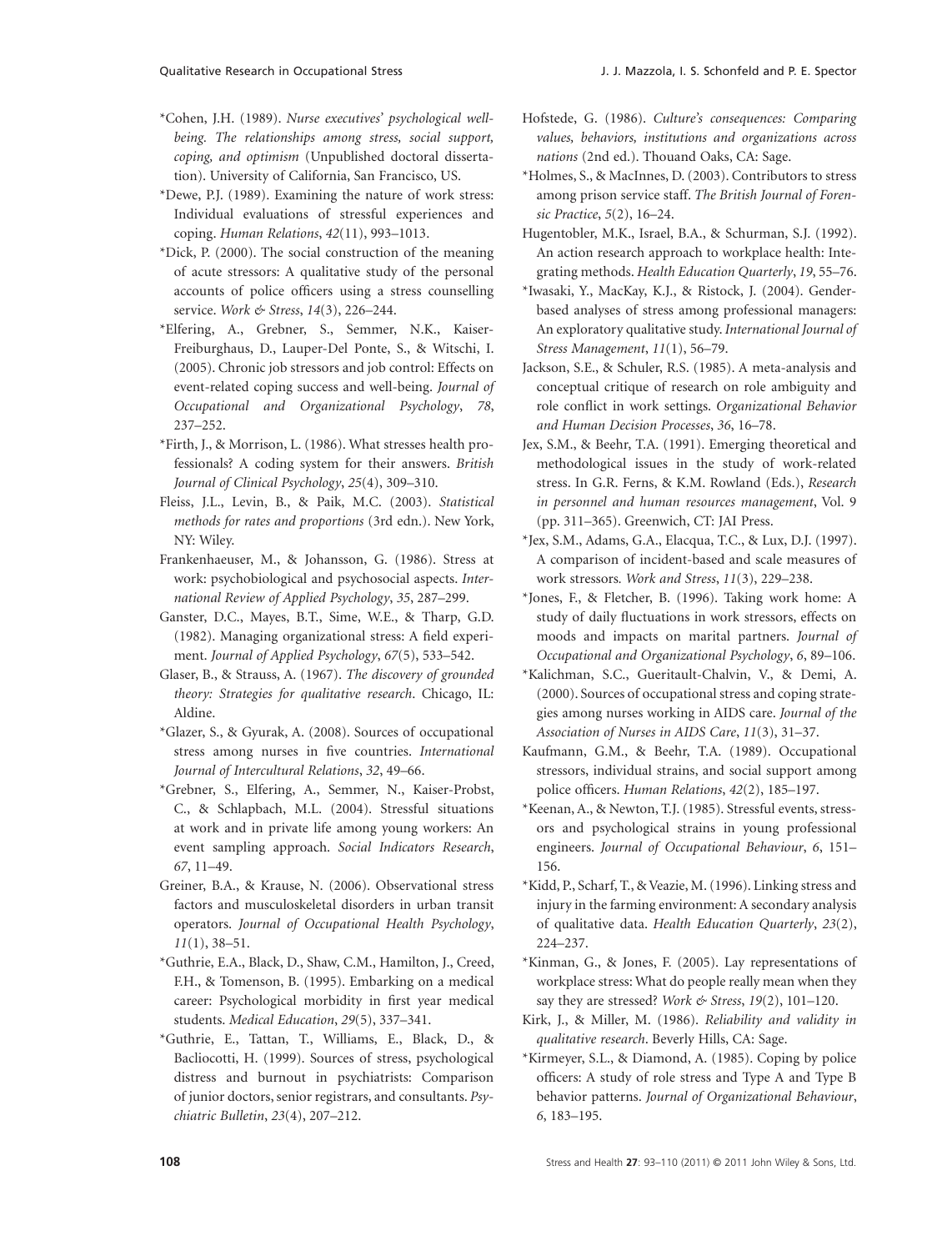- \*Cohen, J.H. (1989). *Nurse executives' psychological wellbeing. The relationships among stress, social support, coping, and optimism* (Unpublished doctoral dissertation). University of California, San Francisco, US.
- \*Dewe, P.J. (1989). Examining the nature of work stress: Individual evaluations of stressful experiences and coping. *Human Relations*, *42*(11), 993–1013.
- \*Dick, P. (2000). The social construction of the meaning of acute stressors: A qualitative study of the personal accounts of police officers using a stress counselling service. *Work & Stress*, *14*(3), 226–244.
- \*Elfering, A., Grebner, S., Semmer, N.K., Kaiser-Freiburghaus, D., Lauper-Del Ponte, S., & Witschi, I. (2005). Chronic job stressors and job control: Effects on event-related coping success and well-being. *Journal of Occupational and Organizational Psychology*, *78*, 237–252.
- \*Firth, J., & Morrison, L. (1986). What stresses health professionals? A coding system for their answers. *British Journal of Clinical Psychology*, *25*(4), 309–310.
- Fleiss, J.L., Levin, B., & Paik, M.C. (2003). *Statistical methods for rates and proportions* (3rd edn.). New York, NY: Wiley.
- Frankenhaeuser, M., & Johansson, G. (1986). Stress at work: psychobiological and psychosocial aspects. *International Review of Applied Psychology*, *35*, 287–299.
- Ganster, D.C., Mayes, B.T., Sime, W.E., & Tharp, G.D. (1982). Managing organizational stress: A field experiment. *Journal of Applied Psychology*, *67*(5), 533–542.
- Glaser, B., & Strauss, A. (1967). *The discovery of grounded theory: Strategies for qualitative research*. Chicago, IL: Aldine.
- \*Glazer, S., & Gyurak, A. (2008). Sources of occupational stress among nurses in five countries. *International Journal of Intercultural Relations*, *32*, 49–66.
- \*Grebner, S., Elfering, A., Semmer, N., Kaiser-Probst, C., & Schlapbach, M.L. (2004). Stressful situations at work and in private life among young workers: An event sampling approach. *Social Indicators Research*, *67*, 11–49.
- Greiner, B.A., & Krause, N. (2006). Observational stress factors and musculoskeletal disorders in urban transit operators. *Journal of Occupational Health Psychology*, *11*(1), 38–51.
- \*Guthrie, E.A., Black, D., Shaw, C.M., Hamilton, J., Creed, F.H., & Tomenson, B. (1995). Embarking on a medical career: Psychological morbidity in first year medical students. *Medical Education*, *29*(5), 337–341.
- \*Guthrie, E., Tattan, T., Williams, E., Black, D., & Bacliocotti, H. (1999). Sources of stress, psychological distress and burnout in psychiatrists: Comparison of junior doctors, senior registrars, and consultants. *Psychiatric Bulletin*, *23*(4), 207–212.
- Hofstede, G. (1986). *Culture's consequences: Comparing values, behaviors, institutions and organizations across nations* (2nd ed.). Thouand Oaks, CA: Sage.
- \*Holmes, S., & MacInnes, D. (2003). Contributors to stress among prison service staff. *The British Journal of Forensic Practice*, *5*(2), 16–24.
- Hugentobler, M.K., Israel, B.A., & Schurman, S.J. (1992). An action research approach to workplace health: Integrating methods. *Health Education Quarterly*, *19*, 55–76.
- \*Iwasaki, Y., MacKay, K.J., & Ristock, J. (2004). Genderbased analyses of stress among professional managers: An exploratory qualitative study. *International Journal of Stress Management*, *11*(1), 56–79.
- Jackson, S.E., & Schuler, R.S. (1985). A meta-analysis and conceptual critique of research on role ambiguity and role conflict in work settings. Organizational Behavior *and Human Decision Processes*, *36*, 16–78.
- Jex, S.M., & Beehr, T.A. (1991). Emerging theoretical and methodological issues in the study of work-related stress. In G.R. Ferns, & K.M. Rowland (Eds.), *Research in personnel and human resources management*, Vol. 9 (pp. 311–365). Greenwich, CT: JAI Press.
- \*Jex, S.M., Adams, G.A., Elacqua, T.C., & Lux, D.J. (1997). A comparison of incident-based and scale measures of work stressors*. Work and Stress*, *11*(3), 229–238.
- \*Jones, F., & Fletcher, B. (1996). Taking work home: A study of daily fluctuations in work stressors, effects on moods and impacts on marital partners. *Journal of Occupational and Organizational Psychology*, *6*, 89–106.
- \*Kalichman, S.C., Gueritault-Chalvin, V., & Demi, A. (2000). Sources of occupational stress and coping strategies among nurses working in AIDS care. *Journal of the Association of Nurses in AIDS Care*, *11*(3), 31–37.
- Kaufmann, G.M., & Beehr, T.A. (1989). Occupational stressors, individual strains, and social support among police officers. *Human Relations*,  $42(2)$ , 185-197.
- \*Keenan, A., & Newton, T.J. (1985). Stressful events, stressors and psychological strains in young professional engineers. *Journal of Occupational Behaviour*, *6*, 151– 156.
- \*Kidd, P., Scharf, T., & Veazie, M. (1996). Linking stress and injury in the farming environment: A secondary analysis of qualitative data. *Health Education Quarterly*, *23*(2), 224–237.
- \*Kinman, G., & Jones, F. (2005). Lay representations of workplace stress: What do people really mean when they say they are stressed? *Work & Stress*, *19*(2), 101–120.
- Kirk, J., & Miller, M. (1986). *Reliability and validity in qualitative research*. Beverly Hills, CA: Sage.
- \*Kirmeyer, S.L., & Diamond, A. (1985). Coping by police officers: A study of role stress and Type A and Type B behavior patterns. *Journal of Organizational Behaviour*, *6*, 183–195.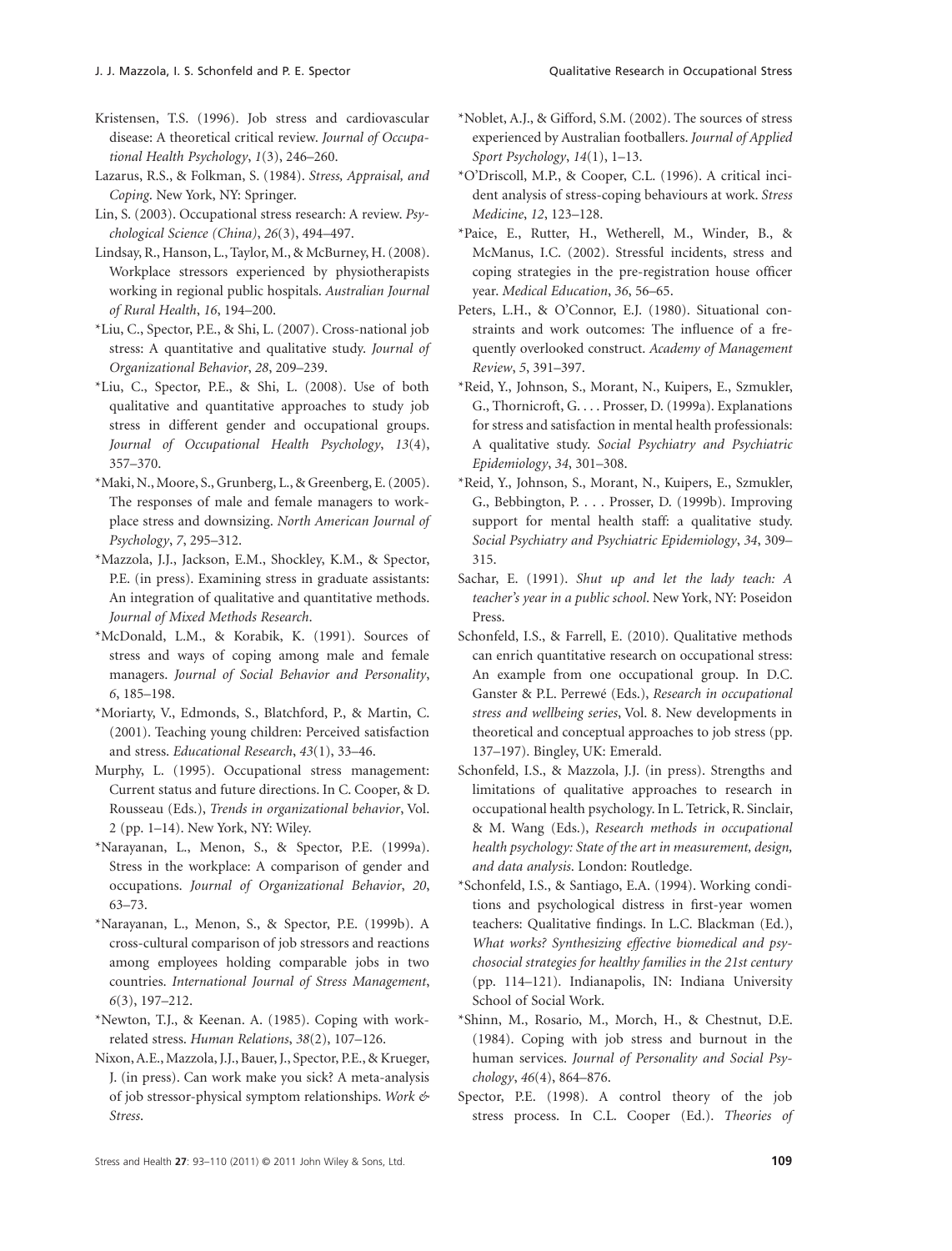- Kristensen, T.S. (1996). Job stress and cardiovascular disease: A theoretical critical review. *Journal of Occupational Health Psychology*, *1*(3), 246–260.
- Lazarus, R.S., & Folkman, S. (1984). *Stress, Appraisal, and Coping*. New York, NY: Springer.
- Lin, S. (2003). Occupational stress research: A review. *Psychological Science (China)*, *26*(3), 494–497.
- Lindsay, R., Hanson, L., Taylor, M., & McBurney, H. (2008). Workplace stressors experienced by physiotherapists working in regional public hospitals. *Australian Journal of Rural Health*, *16*, 194–200.
- \*Liu, C., Spector, P.E., & Shi, L. (2007). Cross-national job stress: A quantitative and qualitative study. *Journal of Organizational Behavior*, *28*, 209–239.
- \*Liu, C., Spector, P.E., & Shi, L. (2008). Use of both qualitative and quantitative approaches to study job stress in different gender and occupational groups. *Journal of Occupational Health Psychology*, *13*(4), 357–370.
- \*Maki, N., Moore, S., Grunberg, L., & Greenberg, E. (2005). The responses of male and female managers to workplace stress and downsizing. *North American Journal of Psychology*, *7*, 295–312.
- \*Mazzola, J.J., Jackson, E.M., Shockley, K.M., & Spector, P.E. (in press). Examining stress in graduate assistants: An integration of qualitative and quantitative methods. *Journal of Mixed Methods Research*.
- \*McDonald, L.M., & Korabik, K. (1991). Sources of stress and ways of coping among male and female managers. *Journal of Social Behavior and Personality*, *6*, 185–198.
- \*Moriarty, V., Edmonds, S., Blatchford, P., & Martin, C. (2001). Teaching young children: Perceived satisfaction and stress. *Educational Research*, *43*(1), 33–46.
- Murphy, L. (1995). Occupational stress management: Current status and future directions. In C. Cooper, & D. Rousseau (Eds.), *Trends in organizational behavior*, Vol. 2 (pp. 1–14). New York, NY: Wiley.
- \*Narayanan, L., Menon, S., & Spector, P.E. (1999a). Stress in the workplace: A comparison of gender and occupations. *Journal of Organizational Behavior*, *20*, 63–73.
- \*Narayanan, L., Menon, S., & Spector, P.E. (1999b). A cross-cultural comparison of job stressors and reactions among employees holding comparable jobs in two countries. *International Journal of Stress Management*, *6*(3), 197–212.
- \*Newton, T.J., & Keenan. A. (1985). Coping with workrelated stress. *Human Relations*, *38*(2), 107–126.
- Nixon, A.E., Mazzola, J.J., Bauer, J., Spector, P.E., & Krueger, J. (in press). Can work make you sick? A meta-analysis of job stressor-physical symptom relationships. *Work & Stress*.
- \*Noblet, A.J., & Gifford, S.M. (2002). The sources of stress experienced by Australian footballers. *Journal of Applied Sport Psychology*, *14*(1), 1–13.
- \*O'Driscoll, M.P., & Cooper, C.L. (1996). A critical incident analysis of stress-coping behaviours at work. *Stress Medicine*, *12*, 123–128.
- \*Paice, E., Rutter, H., Wetherell, M., Winder, B., & McManus, I.C. (2002). Stressful incidents, stress and coping strategies in the pre-registration house officer year. *Medical Education*, *36*, 56–65.
- Peters, L.H., & O'Connor, E.J. (1980). Situational constraints and work outcomes: The influence of a frequently overlooked construct. *Academy of Management Review*, *5*, 391–397.
- \*Reid, Y., Johnson, S., Morant, N., Kuipers, E., Szmukler, G., Thornicroft, G. . . . Prosser, D. (1999a). Explanations for stress and satisfaction in mental health professionals: A qualitative study. *Social Psychiatry and Psychiatric Epidemiology*, *34*, 301–308.
- \*Reid, Y., Johnson, S., Morant, N., Kuipers, E., Szmukler, G., Bebbington, P. . . . Prosser, D. (1999b). Improving support for mental health staff: a qualitative study. *Social Psychiatry and Psychiatric Epidemiology*, *34*, 309– 315.
- Sachar, E. (1991). *Shut up and let the lady teach: A teacher's year in a public school*. New York, NY: Poseidon Press.
- Schonfeld, I.S., & Farrell, E. (2010). Qualitative methods can enrich quantitative research on occupational stress: An example from one occupational group. In D.C. Ganster & P.L. Perrewé (Eds.), *Research in occupational stress and wellbeing series*, Vol. 8. New developments in theoretical and conceptual approaches to job stress (pp. 137–197). Bingley, UK: Emerald.
- Schonfeld, I.S., & Mazzola, J.J. (in press). Strengths and limitations of qualitative approaches to research in occupational health psychology. In L. Tetrick, R. Sinclair, & M. Wang (Eds.), *Research methods in occupational health psychology: State of the art in measurement, design, and data analysis*. London: Routledge.
- \*Schonfeld, I.S., & Santiago, E.A. (1994). Working conditions and psychological distress in first-year women teachers: Qualitative findings. In L.C. Blackman (Ed.), *What works? Synthesizing effective biomedical and psychosocial strategies for healthy families in the 21st century* (pp. 114–121). Indianapolis, IN: Indiana University School of Social Work.
- \*Shinn, M., Rosario, M., Morch, H., & Chestnut, D.E. (1984). Coping with job stress and burnout in the human services. *Journal of Personality and Social Psychology*, *46*(4), 864–876.
- Spector, P.E. (1998). A control theory of the job stress process. In C.L. Cooper (Ed.). *Theories of*